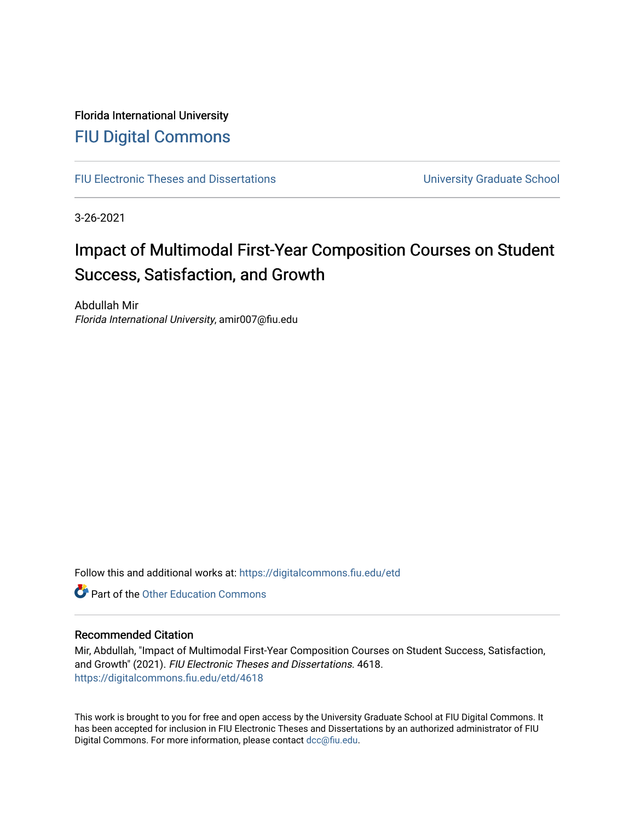# Florida International University [FIU Digital Commons](https://digitalcommons.fiu.edu/)

[FIU Electronic Theses and Dissertations](https://digitalcommons.fiu.edu/etd) **EXEC 10 ACCOLLECT** University Graduate School

3-26-2021

# Impact of Multimodal First-Year Composition Courses on Student Success, Satisfaction, and Growth

Abdullah Mir Florida International University, amir007@fiu.edu

Follow this and additional works at: [https://digitalcommons.fiu.edu/etd](https://digitalcommons.fiu.edu/etd?utm_source=digitalcommons.fiu.edu%2Fetd%2F4618&utm_medium=PDF&utm_campaign=PDFCoverPages)

**C** Part of the Other Education Commons

#### Recommended Citation

Mir, Abdullah, "Impact of Multimodal First-Year Composition Courses on Student Success, Satisfaction, and Growth" (2021). FIU Electronic Theses and Dissertations. 4618. [https://digitalcommons.fiu.edu/etd/4618](https://digitalcommons.fiu.edu/etd/4618?utm_source=digitalcommons.fiu.edu%2Fetd%2F4618&utm_medium=PDF&utm_campaign=PDFCoverPages) 

This work is brought to you for free and open access by the University Graduate School at FIU Digital Commons. It has been accepted for inclusion in FIU Electronic Theses and Dissertations by an authorized administrator of FIU Digital Commons. For more information, please contact [dcc@fiu.edu](mailto:dcc@fiu.edu).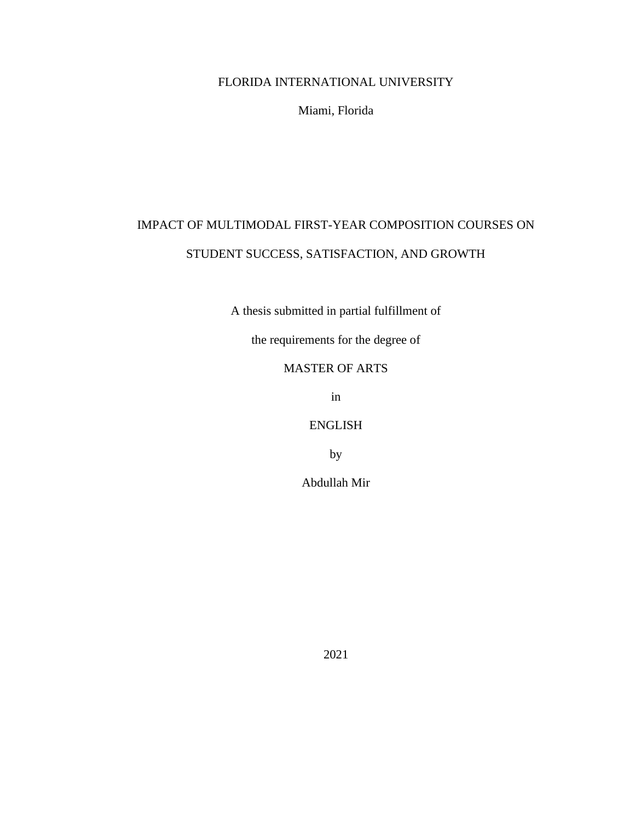### FLORIDA INTERNATIONAL UNIVERSITY

Miami, Florida

# IMPACT OF MULTIMODAL FIRST-YEAR COMPOSITION COURSES ON STUDENT SUCCESS, SATISFACTION, AND GROWTH

A thesis submitted in partial fulfillment of

the requirements for the degree of

## MASTER OF ARTS

in

ENGLISH

by

Abdullah Mir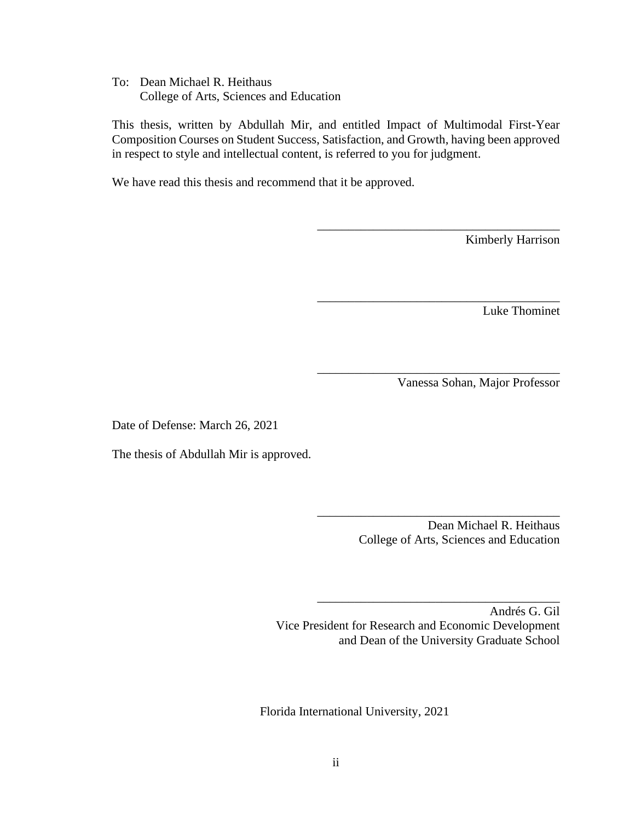To: Dean Michael R. Heithaus College of Arts, Sciences and Education

This thesis, written by Abdullah Mir, and entitled Impact of Multimodal First-Year Composition Courses on Student Success, Satisfaction, and Growth, having been approved in respect to style and intellectual content, is referred to you for judgment.

We have read this thesis and recommend that it be approved.

Kimberly Harrison

Luke Thominet

Vanessa Sohan, Major Professor

\_\_\_\_\_\_\_\_\_\_\_\_\_\_\_\_\_\_\_\_\_\_\_\_\_\_\_\_\_\_\_\_\_\_\_\_\_\_\_

\_\_\_\_\_\_\_\_\_\_\_\_\_\_\_\_\_\_\_\_\_\_\_\_\_\_\_\_\_\_\_\_\_\_\_\_\_\_\_

\_\_\_\_\_\_\_\_\_\_\_\_\_\_\_\_\_\_\_\_\_\_\_\_\_\_\_\_\_\_\_\_\_\_\_\_\_\_\_

Date of Defense: March 26, 2021

The thesis of Abdullah Mir is approved.

 Dean Michael R. Heithaus College of Arts, Sciences and Education

\_\_\_\_\_\_\_\_\_\_\_\_\_\_\_\_\_\_\_\_\_\_\_\_\_\_\_\_\_\_\_\_\_\_\_\_\_\_\_

\_\_\_\_\_\_\_\_\_\_\_\_\_\_\_\_\_\_\_\_\_\_\_\_\_\_\_\_\_\_\_\_\_\_\_\_\_\_\_

Andrés G. Gil Vice President for Research and Economic Development and Dean of the University Graduate School

Florida International University, 2021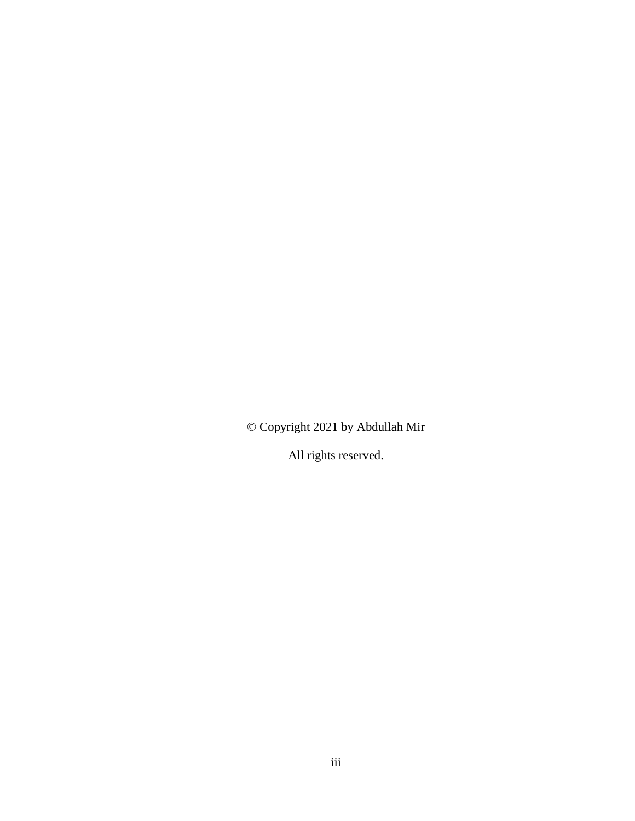© Copyright 2021 by Abdullah Mir

All rights reserved.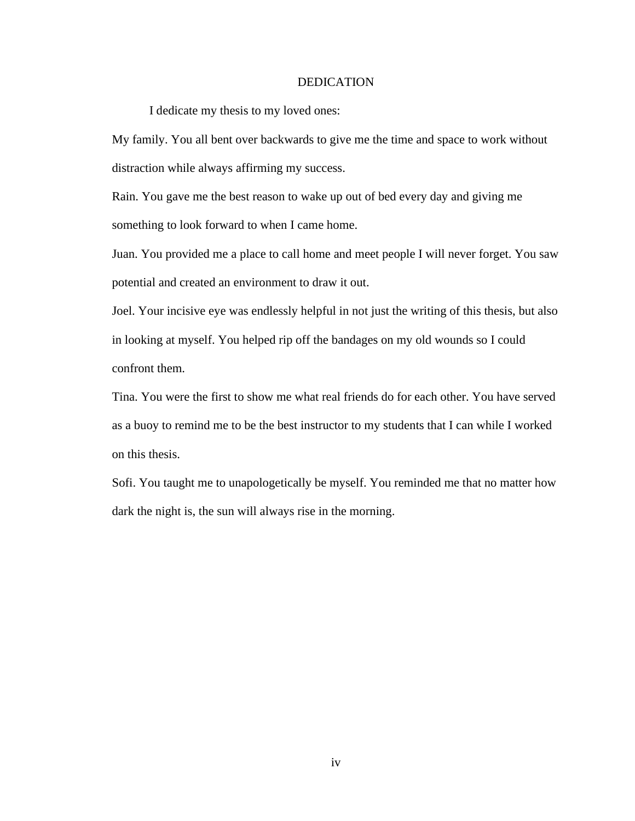#### DEDICATION

I dedicate my thesis to my loved ones:

My family. You all bent over backwards to give me the time and space to work without distraction while always affirming my success.

Rain. You gave me the best reason to wake up out of bed every day and giving me something to look forward to when I came home.

Juan. You provided me a place to call home and meet people I will never forget. You saw potential and created an environment to draw it out.

Joel. Your incisive eye was endlessly helpful in not just the writing of this thesis, but also in looking at myself. You helped rip off the bandages on my old wounds so I could confront them.

Tina. You were the first to show me what real friends do for each other. You have served as a buoy to remind me to be the best instructor to my students that I can while I worked on this thesis.

Sofi. You taught me to unapologetically be myself. You reminded me that no matter how dark the night is, the sun will always rise in the morning.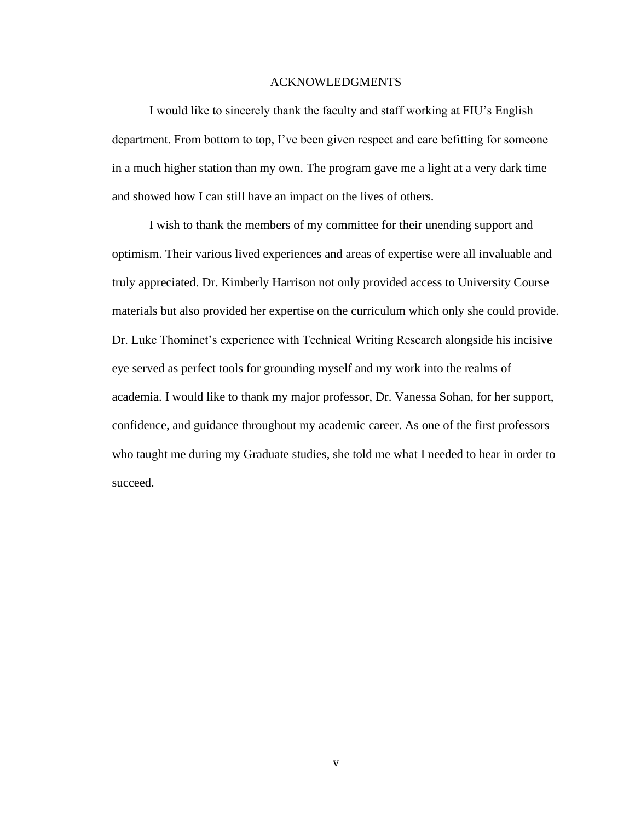#### ACKNOWLEDGMENTS

I would like to sincerely thank the faculty and staff working at FIU's English department. From bottom to top, I've been given respect and care befitting for someone in a much higher station than my own. The program gave me a light at a very dark time and showed how I can still have an impact on the lives of others.

I wish to thank the members of my committee for their unending support and optimism. Their various lived experiences and areas of expertise were all invaluable and truly appreciated. Dr. Kimberly Harrison not only provided access to University Course materials but also provided her expertise on the curriculum which only she could provide. Dr. Luke Thominet's experience with Technical Writing Research alongside his incisive eye served as perfect tools for grounding myself and my work into the realms of academia. I would like to thank my major professor, Dr. Vanessa Sohan, for her support, confidence, and guidance throughout my academic career. As one of the first professors who taught me during my Graduate studies, she told me what I needed to hear in order to succeed.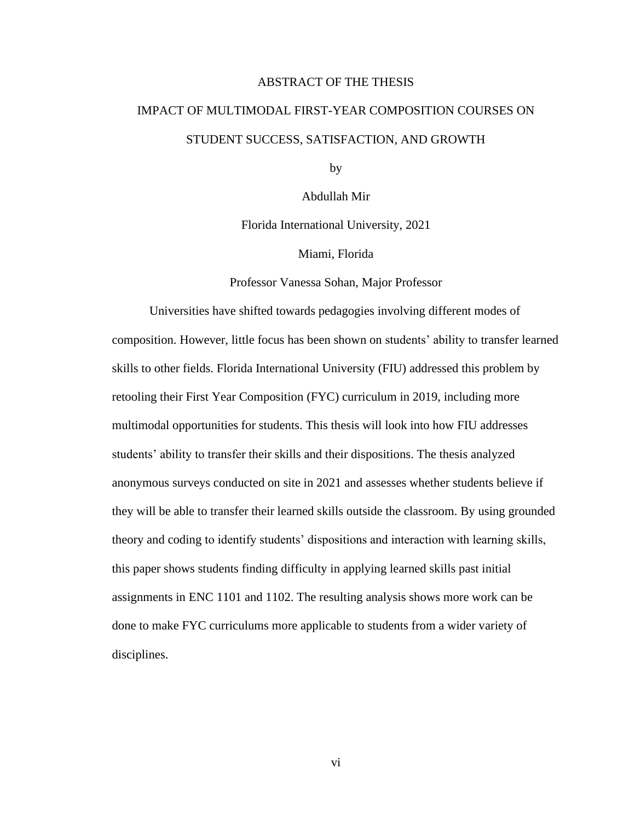#### ABSTRACT OF THE THESIS

# IMPACT OF MULTIMODAL FIRST-YEAR COMPOSITION COURSES ON STUDENT SUCCESS, SATISFACTION, AND GROWTH

by

Abdullah Mir

Florida International University, 2021

Miami, Florida

Professor Vanessa Sohan, Major Professor

Universities have shifted towards pedagogies involving different modes of composition. However, little focus has been shown on students' ability to transfer learned skills to other fields. Florida International University (FIU) addressed this problem by retooling their First Year Composition (FYC) curriculum in 2019, including more multimodal opportunities for students. This thesis will look into how FIU addresses students' ability to transfer their skills and their dispositions. The thesis analyzed anonymous surveys conducted on site in 2021 and assesses whether students believe if they will be able to transfer their learned skills outside the classroom. By using grounded theory and coding to identify students' dispositions and interaction with learning skills, this paper shows students finding difficulty in applying learned skills past initial assignments in ENC 1101 and 1102. The resulting analysis shows more work can be done to make FYC curriculums more applicable to students from a wider variety of disciplines.

vi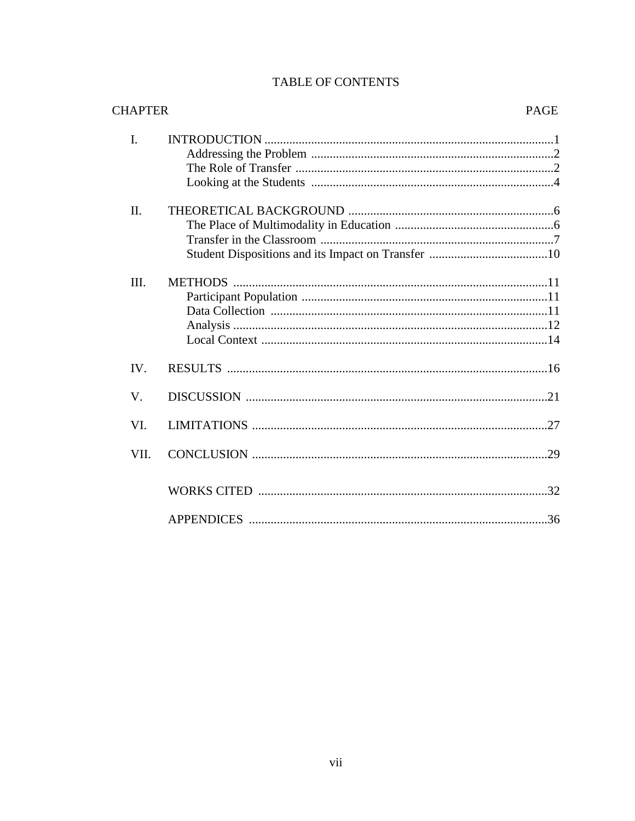# TABLE OF CONTENTS

| <b>CHAPTER</b> |                | <b>PAGE</b> |
|----------------|----------------|-------------|
| I.             |                |             |
| Π.             |                |             |
| III.           | <b>METHODS</b> |             |
| IV.            |                |             |
| V.             |                |             |
| VI.            |                | 27          |
| VII.           |                |             |
|                |                |             |
|                |                |             |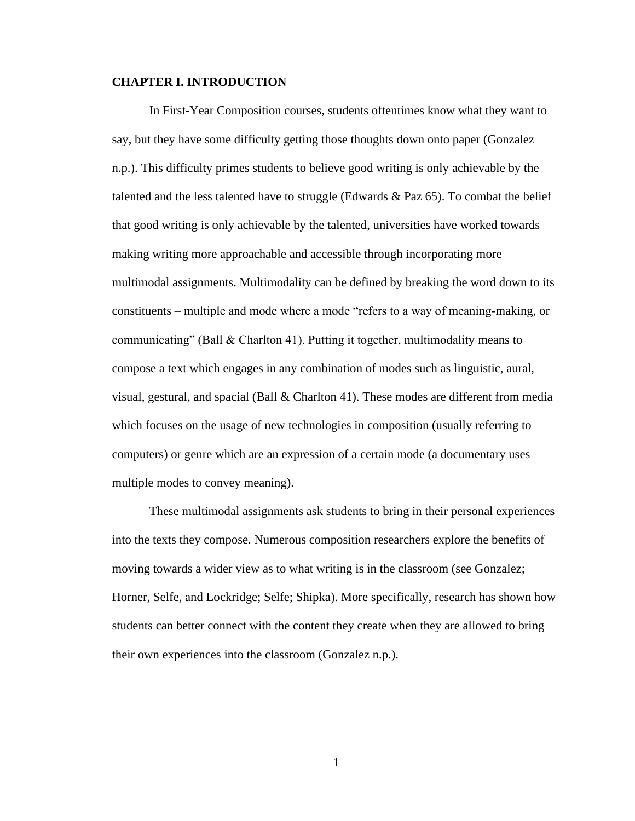#### **CHAPTER I. INTRODUCTION**

In First-Year Composition courses, students oftentimes know what they want to say, but they have some difficulty getting those thoughts down onto paper (Gonzalez n.p.). This difficulty primes students to believe good writing is only achievable by the talented and the less talented have to struggle (Edwards  $\&$  Paz 65). To combat the belief that good writing is only achievable by the talented, universities have worked towards making writing more approachable and accessible through incorporating more multimodal assignments. Multimodality can be defined by breaking the word down to its constituents – multiple and mode where a mode "refers to a way of meaning-making, or communicating" (Ball & Charlton 41). Putting it together, multimodality means to compose a text which engages in any combination of modes such as linguistic, aural, visual, gestural, and spacial (Ball & Charlton 41). These modes are different from media which focuses on the usage of new technologies in composition (usually referring to computers) or genre which are an expression of a certain mode (a documentary uses multiple modes to convey meaning).

These multimodal assignments ask students to bring in their personal experiences into the texts they compose. Numerous composition researchers explore the benefits of moving towards a wider view as to what writing is in the classroom (see Gonzalez; Horner, Selfe, and Lockridge; Selfe; Shipka). More specifically, research has shown how students can better connect with the content they create when they are allowed to bring their own experiences into the classroom (Gonzalez n.p.).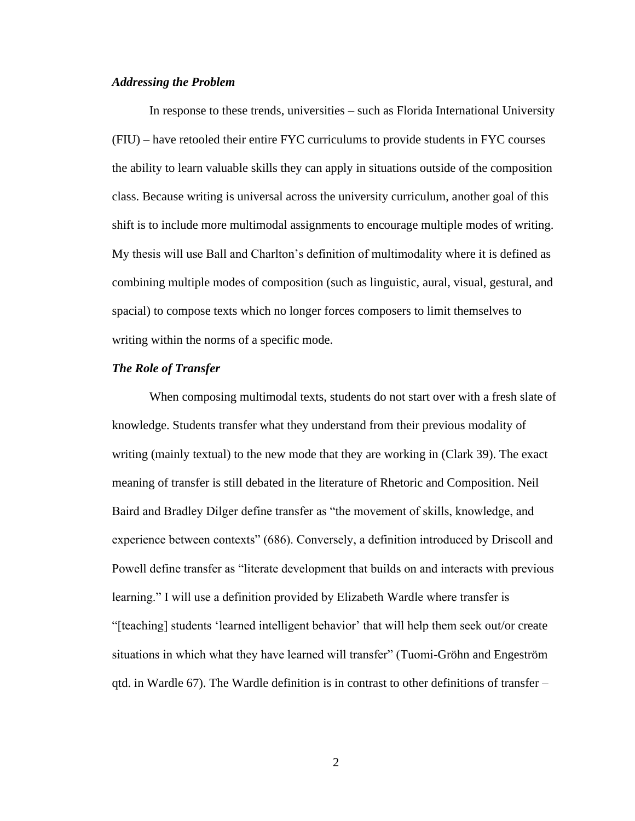#### *Addressing the Problem*

In response to these trends, universities – such as Florida International University (FIU) – have retooled their entire FYC curriculums to provide students in FYC courses the ability to learn valuable skills they can apply in situations outside of the composition class. Because writing is universal across the university curriculum, another goal of this shift is to include more multimodal assignments to encourage multiple modes of writing. My thesis will use Ball and Charlton's definition of multimodality where it is defined as combining multiple modes of composition (such as linguistic, aural, visual, gestural, and spacial) to compose texts which no longer forces composers to limit themselves to writing within the norms of a specific mode.

#### *The Role of Transfer*

When composing multimodal texts, students do not start over with a fresh slate of knowledge. Students transfer what they understand from their previous modality of writing (mainly textual) to the new mode that they are working in (Clark 39). The exact meaning of transfer is still debated in the literature of Rhetoric and Composition. Neil Baird and Bradley Dilger define transfer as "the movement of skills, knowledge, and experience between contexts" (686). Conversely, a definition introduced by Driscoll and Powell define transfer as "literate development that builds on and interacts with previous learning." I will use a definition provided by Elizabeth Wardle where transfer is "[teaching] students 'learned intelligent behavior' that will help them seek out/or create situations in which what they have learned will transfer" (Tuomi-Gröhn and Engeström qtd. in Wardle 67). The Wardle definition is in contrast to other definitions of transfer –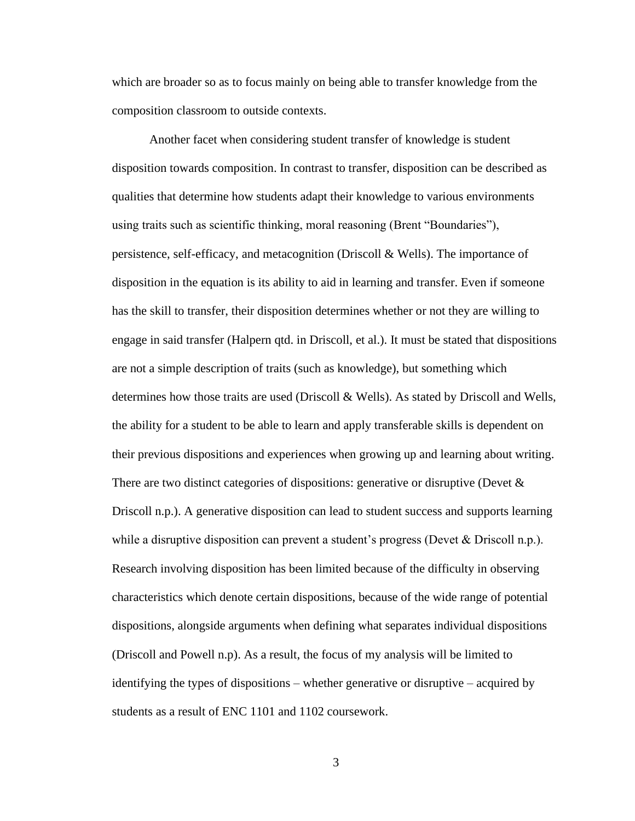which are broader so as to focus mainly on being able to transfer knowledge from the composition classroom to outside contexts.

Another facet when considering student transfer of knowledge is student disposition towards composition. In contrast to transfer, disposition can be described as qualities that determine how students adapt their knowledge to various environments using traits such as scientific thinking, moral reasoning (Brent "Boundaries"), persistence, self-efficacy, and metacognition (Driscoll & Wells). The importance of disposition in the equation is its ability to aid in learning and transfer. Even if someone has the skill to transfer, their disposition determines whether or not they are willing to engage in said transfer (Halpern qtd. in Driscoll, et al.). It must be stated that dispositions are not a simple description of traits (such as knowledge), but something which determines how those traits are used (Driscoll & Wells). As stated by Driscoll and Wells, the ability for a student to be able to learn and apply transferable skills is dependent on their previous dispositions and experiences when growing up and learning about writing. There are two distinct categories of dispositions: generative or disruptive (Devet  $\&$ Driscoll n.p.). A generative disposition can lead to student success and supports learning while a disruptive disposition can prevent a student's progress (Devet  $\&$  Driscoll n.p.). Research involving disposition has been limited because of the difficulty in observing characteristics which denote certain dispositions, because of the wide range of potential dispositions, alongside arguments when defining what separates individual dispositions (Driscoll and Powell n.p). As a result, the focus of my analysis will be limited to identifying the types of dispositions – whether generative or disruptive – acquired by students as a result of ENC 1101 and 1102 coursework.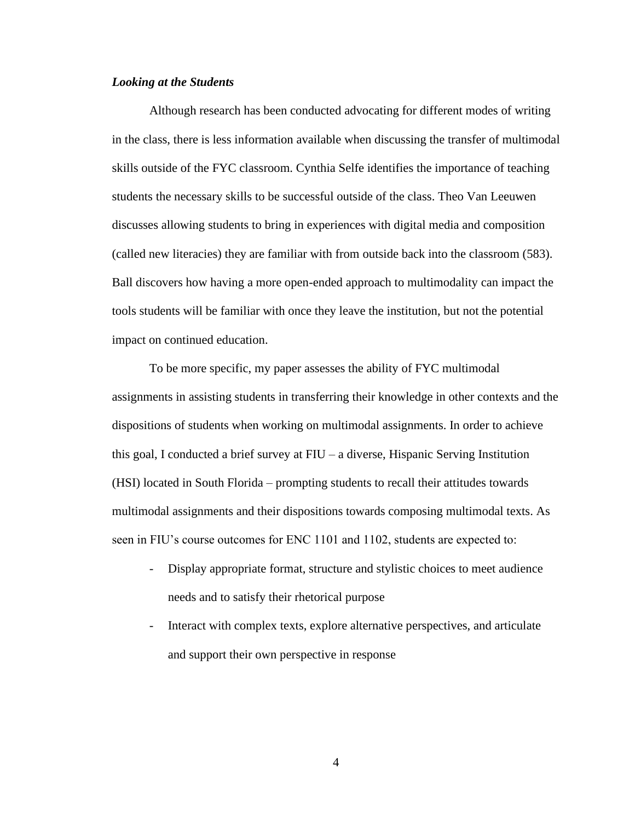#### *Looking at the Students*

Although research has been conducted advocating for different modes of writing in the class, there is less information available when discussing the transfer of multimodal skills outside of the FYC classroom. Cynthia Selfe identifies the importance of teaching students the necessary skills to be successful outside of the class. Theo Van Leeuwen discusses allowing students to bring in experiences with digital media and composition (called new literacies) they are familiar with from outside back into the classroom (583). Ball discovers how having a more open-ended approach to multimodality can impact the tools students will be familiar with once they leave the institution, but not the potential impact on continued education.

To be more specific, my paper assesses the ability of FYC multimodal assignments in assisting students in transferring their knowledge in other contexts and the dispositions of students when working on multimodal assignments. In order to achieve this goal, I conducted a brief survey at FIU – a diverse, Hispanic Serving Institution (HSI) located in South Florida – prompting students to recall their attitudes towards multimodal assignments and their dispositions towards composing multimodal texts. As seen in FIU's course outcomes for ENC 1101 and 1102, students are expected to:

- Display appropriate format, structure and stylistic choices to meet audience needs and to satisfy their rhetorical purpose
- Interact with complex texts, explore alternative perspectives, and articulate and support their own perspective in response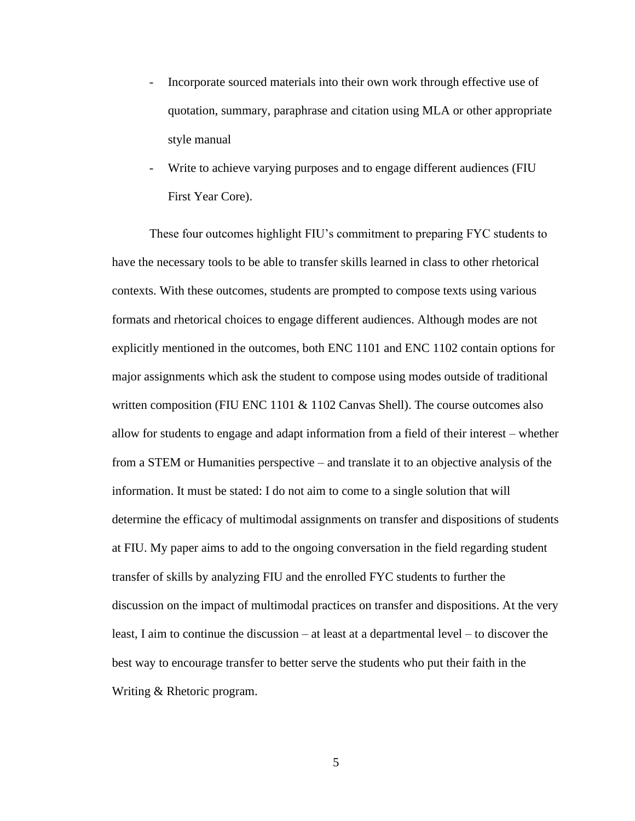- Incorporate sourced materials into their own work through effective use of quotation, summary, paraphrase and citation using MLA or other appropriate style manual
- Write to achieve varying purposes and to engage different audiences (FIU) First Year Core).

These four outcomes highlight FIU's commitment to preparing FYC students to have the necessary tools to be able to transfer skills learned in class to other rhetorical contexts. With these outcomes, students are prompted to compose texts using various formats and rhetorical choices to engage different audiences. Although modes are not explicitly mentioned in the outcomes, both ENC 1101 and ENC 1102 contain options for major assignments which ask the student to compose using modes outside of traditional written composition (FIU ENC 1101 & 1102 Canvas Shell). The course outcomes also allow for students to engage and adapt information from a field of their interest – whether from a STEM or Humanities perspective – and translate it to an objective analysis of the information. It must be stated: I do not aim to come to a single solution that will determine the efficacy of multimodal assignments on transfer and dispositions of students at FIU. My paper aims to add to the ongoing conversation in the field regarding student transfer of skills by analyzing FIU and the enrolled FYC students to further the discussion on the impact of multimodal practices on transfer and dispositions. At the very least, I aim to continue the discussion – at least at a departmental level – to discover the best way to encourage transfer to better serve the students who put their faith in the Writing & Rhetoric program.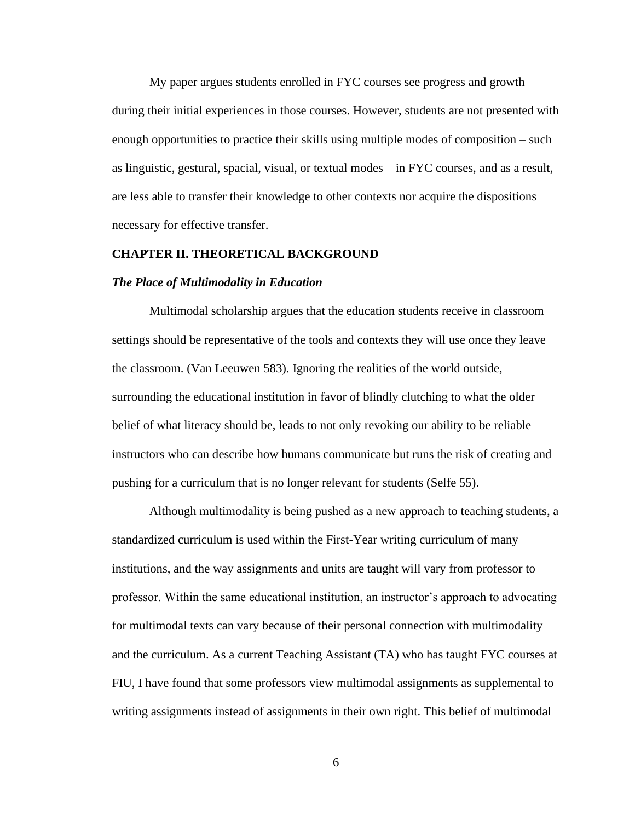My paper argues students enrolled in FYC courses see progress and growth during their initial experiences in those courses. However, students are not presented with enough opportunities to practice their skills using multiple modes of composition – such as linguistic, gestural, spacial, visual, or textual modes – in FYC courses, and as a result, are less able to transfer their knowledge to other contexts nor acquire the dispositions necessary for effective transfer.

#### **CHAPTER II. THEORETICAL BACKGROUND**

#### *The Place of Multimodality in Education*

Multimodal scholarship argues that the education students receive in classroom settings should be representative of the tools and contexts they will use once they leave the classroom. (Van Leeuwen 583). Ignoring the realities of the world outside, surrounding the educational institution in favor of blindly clutching to what the older belief of what literacy should be, leads to not only revoking our ability to be reliable instructors who can describe how humans communicate but runs the risk of creating and pushing for a curriculum that is no longer relevant for students (Selfe 55).

Although multimodality is being pushed as a new approach to teaching students, a standardized curriculum is used within the First-Year writing curriculum of many institutions, and the way assignments and units are taught will vary from professor to professor. Within the same educational institution, an instructor's approach to advocating for multimodal texts can vary because of their personal connection with multimodality and the curriculum. As a current Teaching Assistant (TA) who has taught FYC courses at FIU, I have found that some professors view multimodal assignments as supplemental to writing assignments instead of assignments in their own right. This belief of multimodal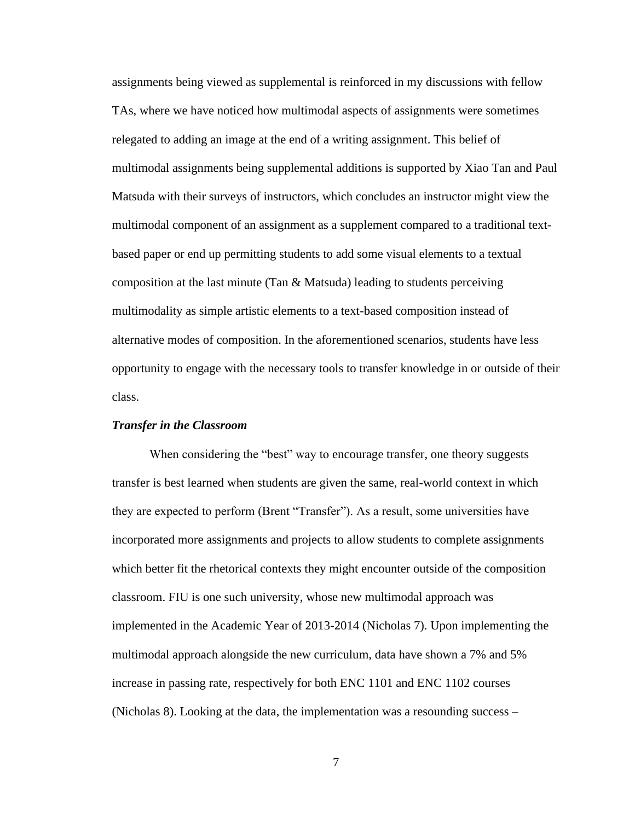assignments being viewed as supplemental is reinforced in my discussions with fellow TAs, where we have noticed how multimodal aspects of assignments were sometimes relegated to adding an image at the end of a writing assignment. This belief of multimodal assignments being supplemental additions is supported by Xiao Tan and Paul Matsuda with their surveys of instructors, which concludes an instructor might view the multimodal component of an assignment as a supplement compared to a traditional textbased paper or end up permitting students to add some visual elements to a textual composition at the last minute (Tan  $&$  Matsuda) leading to students perceiving multimodality as simple artistic elements to a text-based composition instead of alternative modes of composition. In the aforementioned scenarios, students have less opportunity to engage with the necessary tools to transfer knowledge in or outside of their class.

#### *Transfer in the Classroom*

When considering the "best" way to encourage transfer, one theory suggests transfer is best learned when students are given the same, real-world context in which they are expected to perform (Brent "Transfer"). As a result, some universities have incorporated more assignments and projects to allow students to complete assignments which better fit the rhetorical contexts they might encounter outside of the composition classroom. FIU is one such university, whose new multimodal approach was implemented in the Academic Year of 2013-2014 (Nicholas 7). Upon implementing the multimodal approach alongside the new curriculum, data have shown a 7% and 5% increase in passing rate, respectively for both ENC 1101 and ENC 1102 courses (Nicholas 8). Looking at the data, the implementation was a resounding success –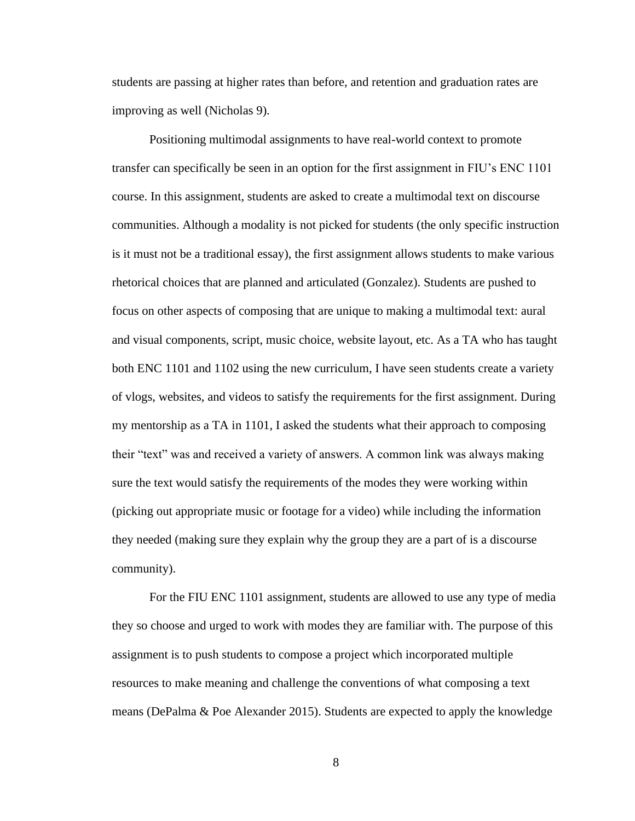students are passing at higher rates than before, and retention and graduation rates are improving as well (Nicholas 9).

Positioning multimodal assignments to have real-world context to promote transfer can specifically be seen in an option for the first assignment in FIU's ENC 1101 course. In this assignment, students are asked to create a multimodal text on discourse communities. Although a modality is not picked for students (the only specific instruction is it must not be a traditional essay), the first assignment allows students to make various rhetorical choices that are planned and articulated (Gonzalez). Students are pushed to focus on other aspects of composing that are unique to making a multimodal text: aural and visual components, script, music choice, website layout, etc. As a TA who has taught both ENC 1101 and 1102 using the new curriculum, I have seen students create a variety of vlogs, websites, and videos to satisfy the requirements for the first assignment. During my mentorship as a TA in 1101, I asked the students what their approach to composing their "text" was and received a variety of answers. A common link was always making sure the text would satisfy the requirements of the modes they were working within (picking out appropriate music or footage for a video) while including the information they needed (making sure they explain why the group they are a part of is a discourse community).

For the FIU ENC 1101 assignment, students are allowed to use any type of media they so choose and urged to work with modes they are familiar with. The purpose of this assignment is to push students to compose a project which incorporated multiple resources to make meaning and challenge the conventions of what composing a text means (DePalma & Poe Alexander 2015). Students are expected to apply the knowledge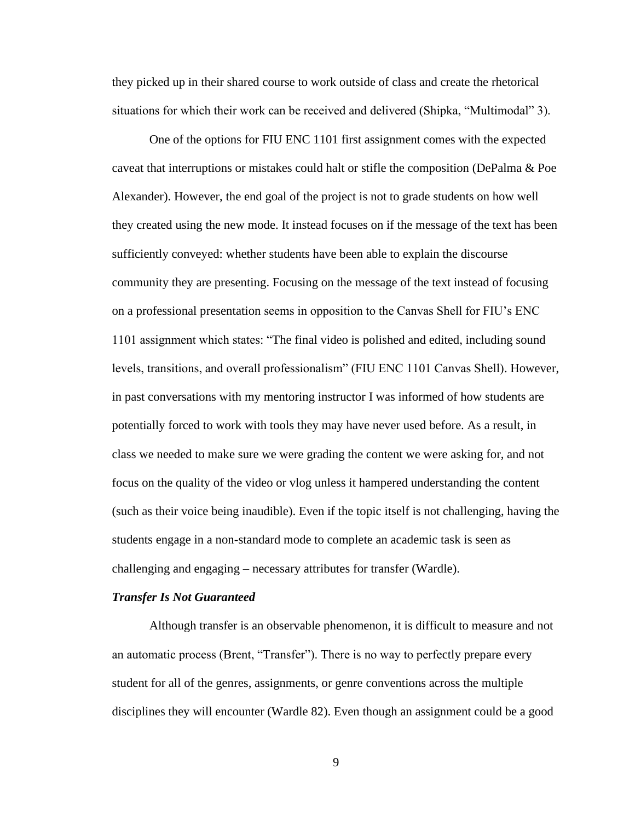they picked up in their shared course to work outside of class and create the rhetorical situations for which their work can be received and delivered (Shipka, "Multimodal" 3).

One of the options for FIU ENC 1101 first assignment comes with the expected caveat that interruptions or mistakes could halt or stifle the composition (DePalma & Poe Alexander). However, the end goal of the project is not to grade students on how well they created using the new mode. It instead focuses on if the message of the text has been sufficiently conveyed: whether students have been able to explain the discourse community they are presenting. Focusing on the message of the text instead of focusing on a professional presentation seems in opposition to the Canvas Shell for FIU's ENC 1101 assignment which states: "The final video is polished and edited, including sound levels, transitions, and overall professionalism" (FIU ENC 1101 Canvas Shell). However, in past conversations with my mentoring instructor I was informed of how students are potentially forced to work with tools they may have never used before. As a result, in class we needed to make sure we were grading the content we were asking for, and not focus on the quality of the video or vlog unless it hampered understanding the content (such as their voice being inaudible). Even if the topic itself is not challenging, having the students engage in a non-standard mode to complete an academic task is seen as challenging and engaging – necessary attributes for transfer (Wardle).

#### *Transfer Is Not Guaranteed*

Although transfer is an observable phenomenon, it is difficult to measure and not an automatic process (Brent, "Transfer"). There is no way to perfectly prepare every student for all of the genres, assignments, or genre conventions across the multiple disciplines they will encounter (Wardle 82). Even though an assignment could be a good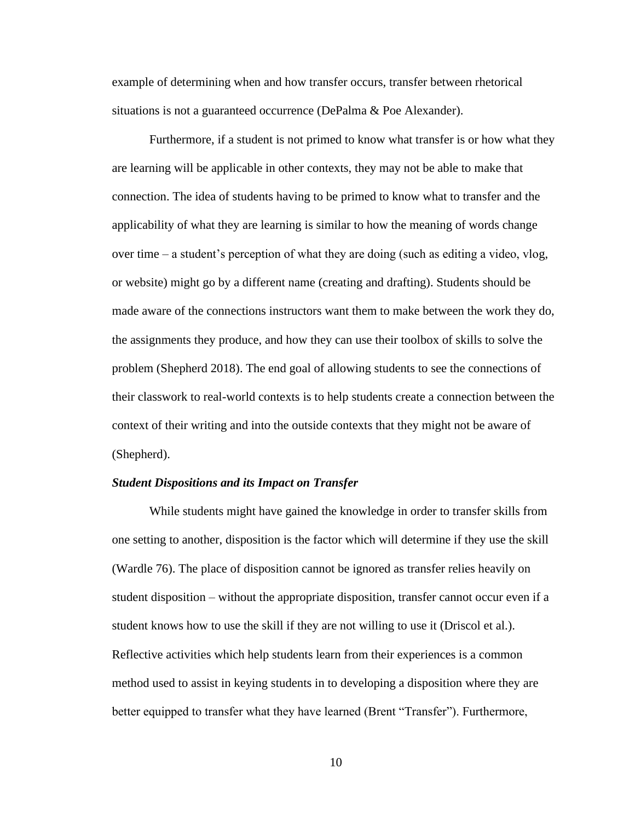example of determining when and how transfer occurs, transfer between rhetorical situations is not a guaranteed occurrence (DePalma & Poe Alexander).

Furthermore, if a student is not primed to know what transfer is or how what they are learning will be applicable in other contexts, they may not be able to make that connection. The idea of students having to be primed to know what to transfer and the applicability of what they are learning is similar to how the meaning of words change over time – a student's perception of what they are doing (such as editing a video, vlog, or website) might go by a different name (creating and drafting). Students should be made aware of the connections instructors want them to make between the work they do, the assignments they produce, and how they can use their toolbox of skills to solve the problem (Shepherd 2018). The end goal of allowing students to see the connections of their classwork to real-world contexts is to help students create a connection between the context of their writing and into the outside contexts that they might not be aware of (Shepherd).

#### *Student Dispositions and its Impact on Transfer*

While students might have gained the knowledge in order to transfer skills from one setting to another, disposition is the factor which will determine if they use the skill (Wardle 76). The place of disposition cannot be ignored as transfer relies heavily on student disposition – without the appropriate disposition, transfer cannot occur even if a student knows how to use the skill if they are not willing to use it (Driscol et al.). Reflective activities which help students learn from their experiences is a common method used to assist in keying students in to developing a disposition where they are better equipped to transfer what they have learned (Brent "Transfer"). Furthermore,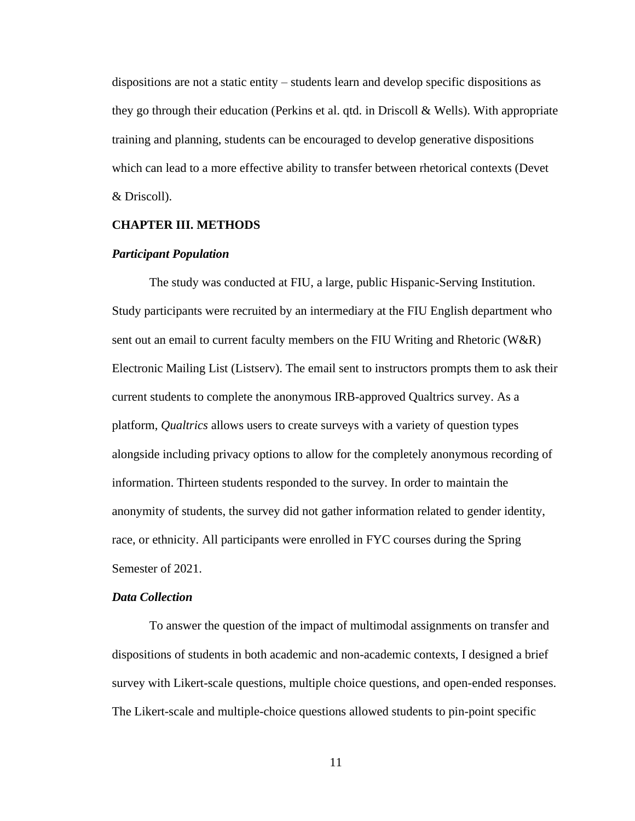dispositions are not a static entity – students learn and develop specific dispositions as they go through their education (Perkins et al. qtd. in Driscoll & Wells). With appropriate training and planning, students can be encouraged to develop generative dispositions which can lead to a more effective ability to transfer between rhetorical contexts (Devet & Driscoll).

#### **CHAPTER III. METHODS**

#### *Participant Population*

The study was conducted at FIU, a large, public Hispanic-Serving Institution. Study participants were recruited by an intermediary at the FIU English department who sent out an email to current faculty members on the FIU Writing and Rhetoric (W&R) Electronic Mailing List (Listserv). The email sent to instructors prompts them to ask their current students to complete the anonymous IRB-approved Qualtrics survey. As a platform, *Qualtrics* allows users to create surveys with a variety of question types alongside including privacy options to allow for the completely anonymous recording of information. Thirteen students responded to the survey. In order to maintain the anonymity of students, the survey did not gather information related to gender identity, race, or ethnicity. All participants were enrolled in FYC courses during the Spring Semester of 2021.

#### *Data Collection*

To answer the question of the impact of multimodal assignments on transfer and dispositions of students in both academic and non-academic contexts, I designed a brief survey with Likert-scale questions, multiple choice questions, and open-ended responses. The Likert-scale and multiple-choice questions allowed students to pin-point specific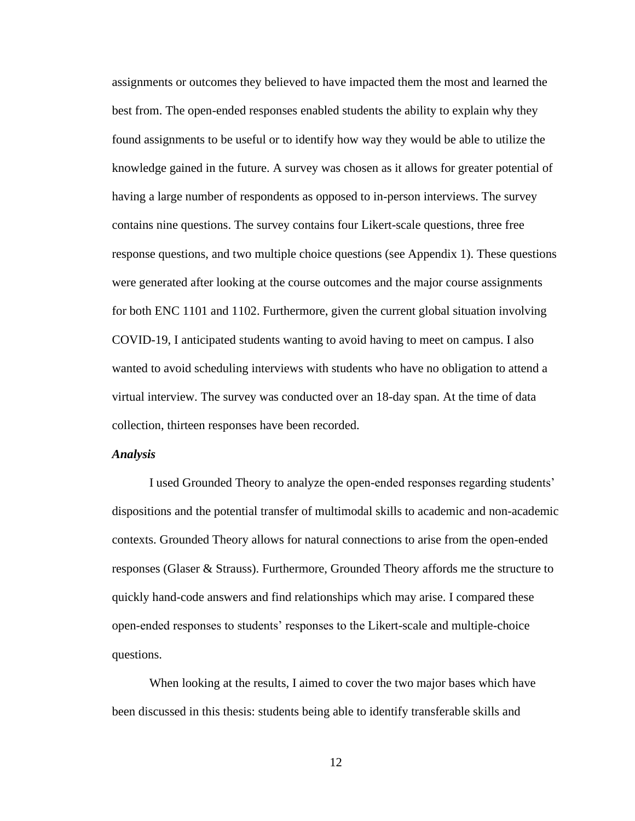assignments or outcomes they believed to have impacted them the most and learned the best from. The open-ended responses enabled students the ability to explain why they found assignments to be useful or to identify how way they would be able to utilize the knowledge gained in the future. A survey was chosen as it allows for greater potential of having a large number of respondents as opposed to in-person interviews. The survey contains nine questions. The survey contains four Likert-scale questions, three free response questions, and two multiple choice questions (see Appendix 1). These questions were generated after looking at the course outcomes and the major course assignments for both ENC 1101 and 1102. Furthermore, given the current global situation involving COVID-19, I anticipated students wanting to avoid having to meet on campus. I also wanted to avoid scheduling interviews with students who have no obligation to attend a virtual interview. The survey was conducted over an 18-day span. At the time of data collection, thirteen responses have been recorded.

#### *Analysis*

I used Grounded Theory to analyze the open-ended responses regarding students' dispositions and the potential transfer of multimodal skills to academic and non-academic contexts. Grounded Theory allows for natural connections to arise from the open-ended responses (Glaser & Strauss). Furthermore, Grounded Theory affords me the structure to quickly hand-code answers and find relationships which may arise. I compared these open-ended responses to students' responses to the Likert-scale and multiple-choice questions.

When looking at the results, I aimed to cover the two major bases which have been discussed in this thesis: students being able to identify transferable skills and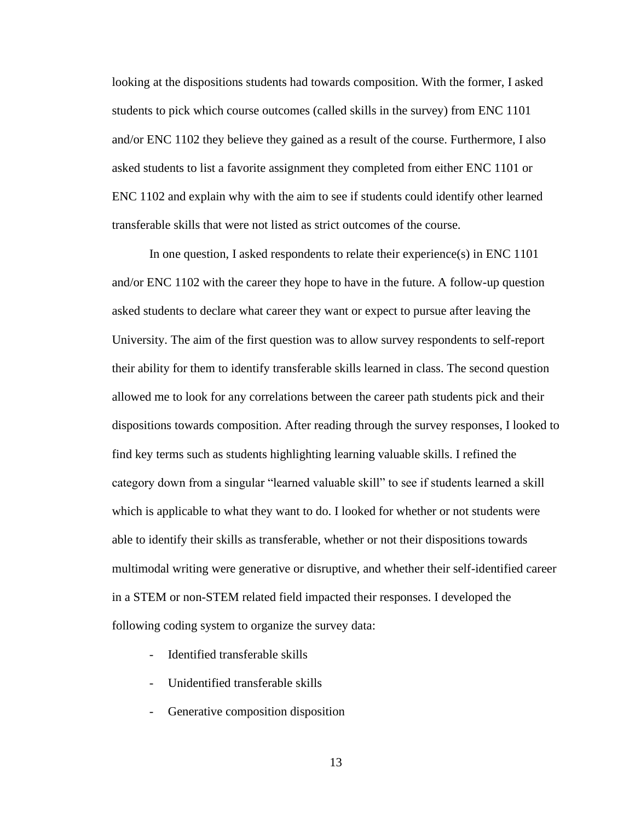looking at the dispositions students had towards composition. With the former, I asked students to pick which course outcomes (called skills in the survey) from ENC 1101 and/or ENC 1102 they believe they gained as a result of the course. Furthermore, I also asked students to list a favorite assignment they completed from either ENC 1101 or ENC 1102 and explain why with the aim to see if students could identify other learned transferable skills that were not listed as strict outcomes of the course.

In one question, I asked respondents to relate their experience(s) in ENC 1101 and/or ENC 1102 with the career they hope to have in the future. A follow-up question asked students to declare what career they want or expect to pursue after leaving the University. The aim of the first question was to allow survey respondents to self-report their ability for them to identify transferable skills learned in class. The second question allowed me to look for any correlations between the career path students pick and their dispositions towards composition. After reading through the survey responses, I looked to find key terms such as students highlighting learning valuable skills. I refined the category down from a singular "learned valuable skill" to see if students learned a skill which is applicable to what they want to do. I looked for whether or not students were able to identify their skills as transferable, whether or not their dispositions towards multimodal writing were generative or disruptive, and whether their self-identified career in a STEM or non-STEM related field impacted their responses. I developed the following coding system to organize the survey data:

- Identified transferable skills
- Unidentified transferable skills
- Generative composition disposition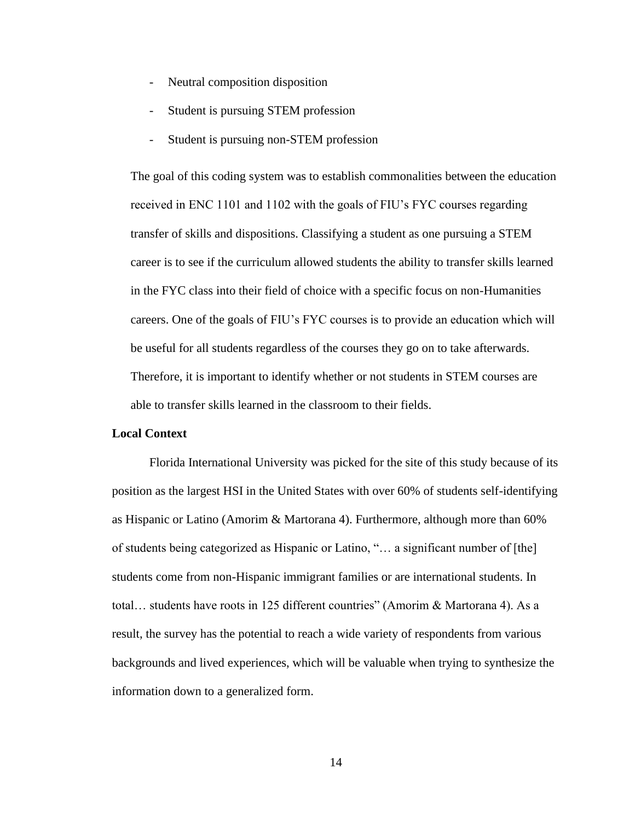- Neutral composition disposition
- Student is pursuing STEM profession
- Student is pursuing non-STEM profession

The goal of this coding system was to establish commonalities between the education received in ENC 1101 and 1102 with the goals of FIU's FYC courses regarding transfer of skills and dispositions. Classifying a student as one pursuing a STEM career is to see if the curriculum allowed students the ability to transfer skills learned in the FYC class into their field of choice with a specific focus on non-Humanities careers. One of the goals of FIU's FYC courses is to provide an education which will be useful for all students regardless of the courses they go on to take afterwards. Therefore, it is important to identify whether or not students in STEM courses are able to transfer skills learned in the classroom to their fields.

#### **Local Context**

Florida International University was picked for the site of this study because of its position as the largest HSI in the United States with over 60% of students self-identifying as Hispanic or Latino (Amorim & Martorana 4). Furthermore, although more than 60% of students being categorized as Hispanic or Latino, "… a significant number of [the] students come from non-Hispanic immigrant families or are international students. In total… students have roots in 125 different countries" (Amorim & Martorana 4). As a result, the survey has the potential to reach a wide variety of respondents from various backgrounds and lived experiences, which will be valuable when trying to synthesize the information down to a generalized form.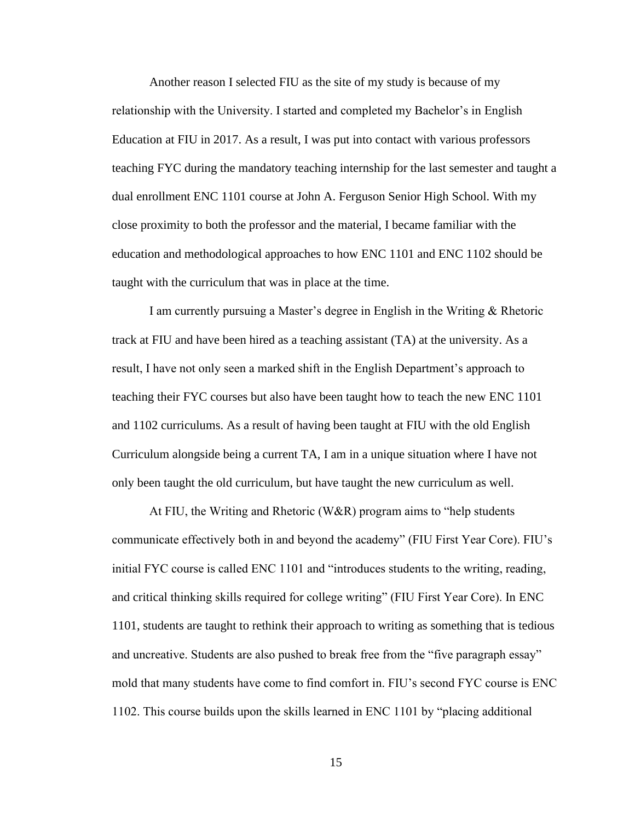Another reason I selected FIU as the site of my study is because of my relationship with the University. I started and completed my Bachelor's in English Education at FIU in 2017. As a result, I was put into contact with various professors teaching FYC during the mandatory teaching internship for the last semester and taught a dual enrollment ENC 1101 course at John A. Ferguson Senior High School. With my close proximity to both the professor and the material, I became familiar with the education and methodological approaches to how ENC 1101 and ENC 1102 should be taught with the curriculum that was in place at the time.

I am currently pursuing a Master's degree in English in the Writing & Rhetoric track at FIU and have been hired as a teaching assistant (TA) at the university. As a result, I have not only seen a marked shift in the English Department's approach to teaching their FYC courses but also have been taught how to teach the new ENC 1101 and 1102 curriculums. As a result of having been taught at FIU with the old English Curriculum alongside being a current TA, I am in a unique situation where I have not only been taught the old curriculum, but have taught the new curriculum as well.

At FIU, the Writing and Rhetoric (W&R) program aims to "help students communicate effectively both in and beyond the academy" (FIU First Year Core). FIU's initial FYC course is called ENC 1101 and "introduces students to the writing, reading, and critical thinking skills required for college writing" (FIU First Year Core). In ENC 1101, students are taught to rethink their approach to writing as something that is tedious and uncreative. Students are also pushed to break free from the "five paragraph essay" mold that many students have come to find comfort in. FIU's second FYC course is ENC 1102. This course builds upon the skills learned in ENC 1101 by "placing additional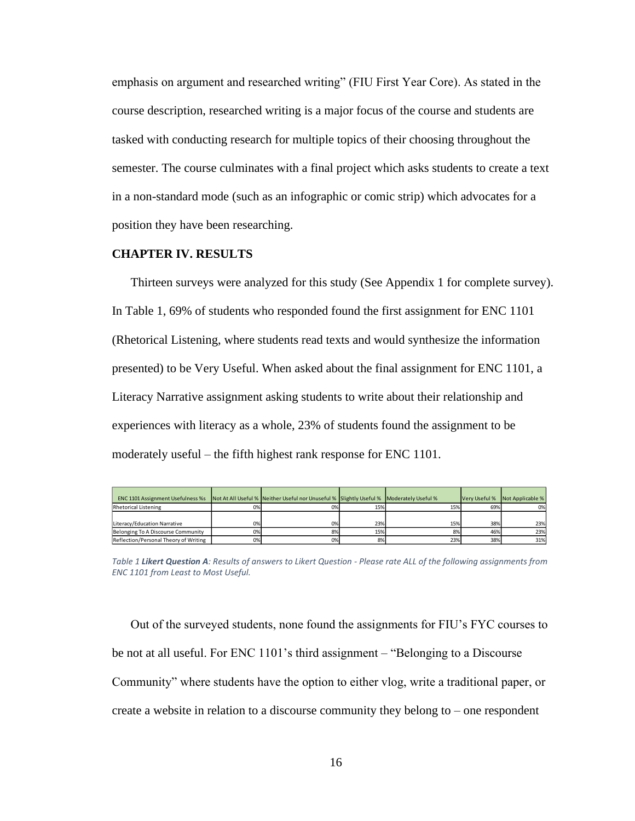emphasis on argument and researched writing" (FIU First Year Core). As stated in the course description, researched writing is a major focus of the course and students are tasked with conducting research for multiple topics of their choosing throughout the semester. The course culminates with a final project which asks students to create a text in a non-standard mode (such as an infographic or comic strip) which advocates for a position they have been researching.

#### **CHAPTER IV. RESULTS**

Thirteen surveys were analyzed for this study (See Appendix 1 for complete survey). In Table 1, 69% of students who responded found the first assignment for ENC 1101 (Rhetorical Listening, where students read texts and would synthesize the information presented) to be Very Useful. When asked about the final assignment for ENC 1101, a Literacy Narrative assignment asking students to write about their relationship and experiences with literacy as a whole, 23% of students found the assignment to be moderately useful – the fifth highest rank response for ENC 1101.

| <b>ENC 1101 Assignment Usefulness %s</b> |    | Not At All Useful % Neither Useful nor Unuseful % Slightly Useful % Moderately Useful % |     |     | Very Useful % | Not Applicable % |
|------------------------------------------|----|-----------------------------------------------------------------------------------------|-----|-----|---------------|------------------|
| <b>Rhetorical Listening</b>              | 0% | 0%                                                                                      | 15% | 15% | 69%           | 0%               |
|                                          |    |                                                                                         |     |     |               |                  |
| Literacy/Education Narrative             | 0% | 0%                                                                                      | 23% | 15% | 38%           | 23%              |
| Belonging To A Discourse Community       | 0% | 8%                                                                                      | 15% | 8%  | 46%           | 23%              |
| Reflection/Personal Theory of Writing    | 0% | 0%                                                                                      | 8%  | 23% | 38%           | 31%              |

*Table 1 Likert Question A: Results of answers to Likert Question - Please rate ALL of the following assignments from ENC 1101 from Least to Most Useful.* 

Out of the surveyed students, none found the assignments for FIU's FYC courses to be not at all useful. For ENC 1101's third assignment – "Belonging to a Discourse Community" where students have the option to either vlog, write a traditional paper, or create a website in relation to a discourse community they belong to – one respondent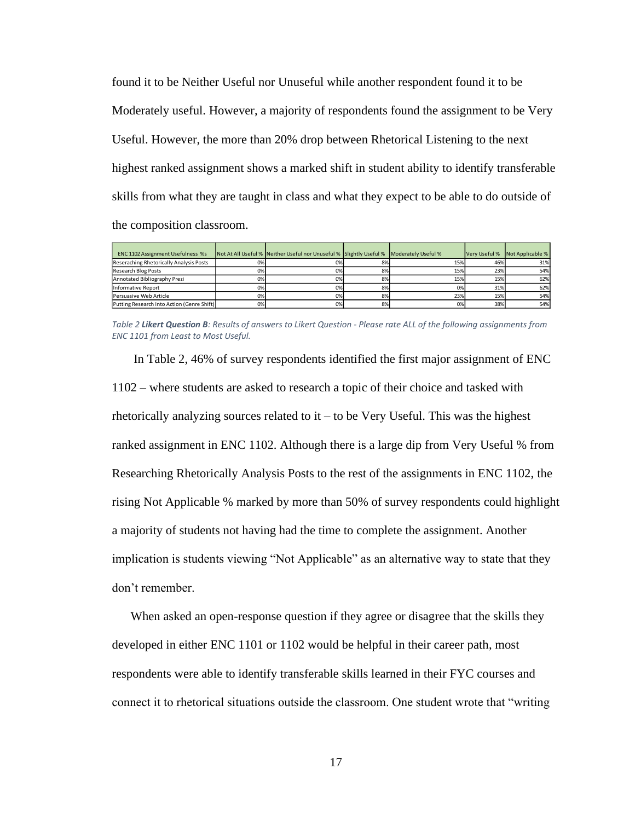found it to be Neither Useful nor Unuseful while another respondent found it to be Moderately useful. However, a majority of respondents found the assignment to be Very Useful. However, the more than 20% drop between Rhetorical Listening to the next highest ranked assignment shows a marked shift in student ability to identify transferable skills from what they are taught in class and what they expect to be able to do outside of the composition classroom.

| <b>ENC 1102 Assignment Usefulness %s</b>   |    | Not At All Useful % Neither Useful nor Unuseful % Slightly Useful % Moderately Useful % |    |     | Very Useful % | Not Applicable % |
|--------------------------------------------|----|-----------------------------------------------------------------------------------------|----|-----|---------------|------------------|
| Reseraching Rhetorically Analysis Posts    | 0% | 0%                                                                                      | 8% | 15% | 46%           | 31%              |
| <b>Research Blog Posts</b>                 | 0% | 0%                                                                                      | 8% | 15% | 23%           | 54%              |
| Annotated Bibliography Prezi               | 0% | 0%                                                                                      | 8% | 15% | 15%           | 62%              |
| Informative Report                         | 0% | 0%                                                                                      | 8% | 0%  | 31%           | 62%              |
| Persuasive Web Article                     | 0% | 0%                                                                                      | 8% | 23% | 15%           | 54%              |
| Putting Research into Action (Genre Shift) | 0% | 0%                                                                                      | 8% | 0%  | 38%           | 54%              |

*Table 2 Likert Question B: Results of answers to Likert Question - Please rate ALL of the following assignments from ENC 1101 from Least to Most Useful.* 

In Table 2, 46% of survey respondents identified the first major assignment of ENC 1102 – where students are asked to research a topic of their choice and tasked with rhetorically analyzing sources related to it – to be Very Useful. This was the highest ranked assignment in ENC 1102. Although there is a large dip from Very Useful % from Researching Rhetorically Analysis Posts to the rest of the assignments in ENC 1102, the rising Not Applicable % marked by more than 50% of survey respondents could highlight a majority of students not having had the time to complete the assignment. Another implication is students viewing "Not Applicable" as an alternative way to state that they don't remember.

When asked an open-response question if they agree or disagree that the skills they developed in either ENC 1101 or 1102 would be helpful in their career path, most respondents were able to identify transferable skills learned in their FYC courses and connect it to rhetorical situations outside the classroom. One student wrote that "writing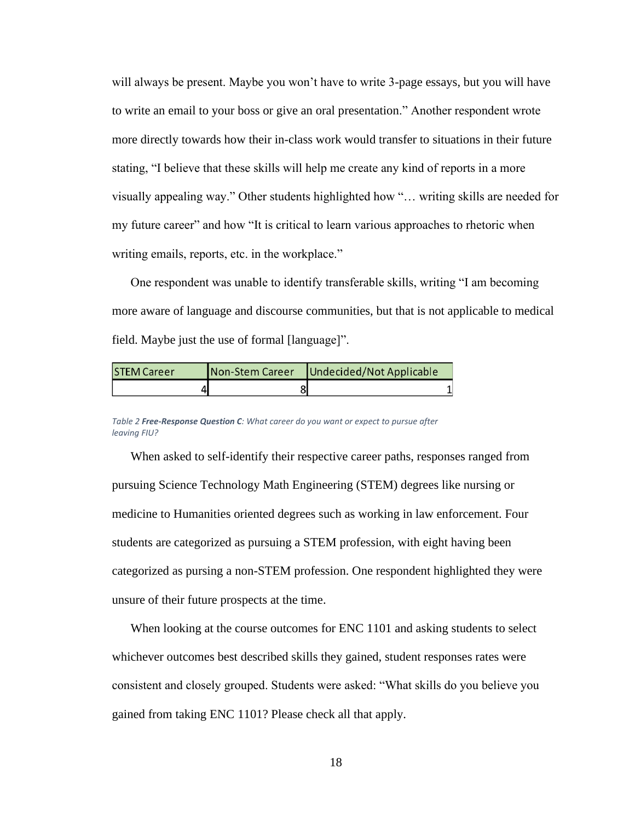will always be present. Maybe you won't have to write 3-page essays, but you will have to write an email to your boss or give an oral presentation." Another respondent wrote more directly towards how their in-class work would transfer to situations in their future stating, "I believe that these skills will help me create any kind of reports in a more visually appealing way." Other students highlighted how "… writing skills are needed for my future career" and how "It is critical to learn various approaches to rhetoric when writing emails, reports, etc. in the workplace."

One respondent was unable to identify transferable skills, writing "I am becoming more aware of language and discourse communities, but that is not applicable to medical field. Maybe just the use of formal [language]".

| <b>STEM Career</b> | Non-Stem Career | Undecided/Not Applicable |
|--------------------|-----------------|--------------------------|
|                    |                 |                          |

*Figure What career do you want or expect to pursue after leaving FIU? Table 2 Free-Response Question C: What career do you want or expect to pursue after leaving FIU?*

When asked to self-identify their respective career paths, responses ranged from pursuing Science Technology Math Engineering (STEM) degrees like nursing or medicine to Humanities oriented degrees such as working in law enforcement. Four students are categorized as pursuing a STEM profession, with eight having been categorized as pursing a non-STEM profession. One respondent highlighted they were unsure of their future prospects at the time.

When looking at the course outcomes for ENC 1101 and asking students to select whichever outcomes best described skills they gained, student responses rates were consistent and closely grouped. Students were asked: "What skills do you believe you gained from taking ENC 1101? Please check all that apply.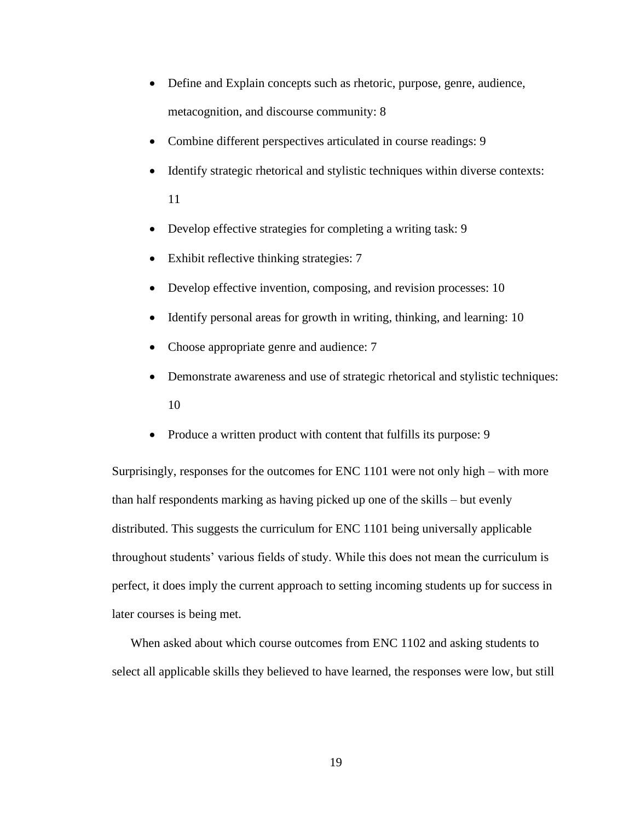- Define and Explain concepts such as rhetoric, purpose, genre, audience, metacognition, and discourse community: 8
- Combine different perspectives articulated in course readings: 9
- Identify strategic rhetorical and stylistic techniques within diverse contexts: 11
- Develop effective strategies for completing a writing task: 9
- Exhibit reflective thinking strategies: 7
- Develop effective invention, composing, and revision processes: 10
- Identify personal areas for growth in writing, thinking, and learning: 10
- Choose appropriate genre and audience: 7
- Demonstrate awareness and use of strategic rhetorical and stylistic techniques: 10
- Produce a written product with content that fulfills its purpose: 9

Surprisingly, responses for the outcomes for ENC 1101 were not only high – with more than half respondents marking as having picked up one of the skills – but evenly distributed. This suggests the curriculum for ENC 1101 being universally applicable throughout students' various fields of study. While this does not mean the curriculum is perfect, it does imply the current approach to setting incoming students up for success in later courses is being met.

When asked about which course outcomes from ENC 1102 and asking students to select all applicable skills they believed to have learned, the responses were low, but still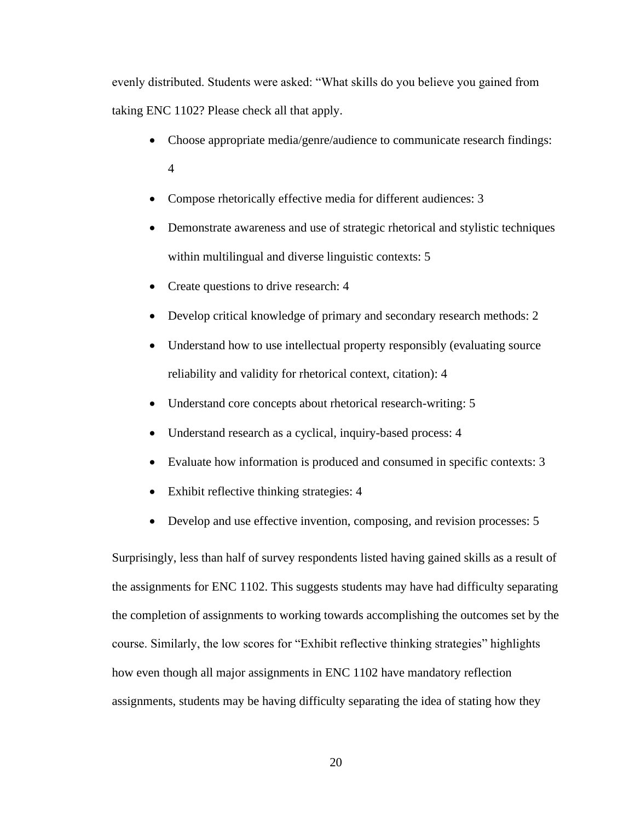evenly distributed. Students were asked: "What skills do you believe you gained from taking ENC 1102? Please check all that apply.

- Choose appropriate media/genre/audience to communicate research findings: 4
- Compose rhetorically effective media for different audiences: 3
- Demonstrate awareness and use of strategic rhetorical and stylistic techniques within multilingual and diverse linguistic contexts: 5
- Create questions to drive research: 4
- Develop critical knowledge of primary and secondary research methods: 2
- Understand how to use intellectual property responsibly (evaluating source reliability and validity for rhetorical context, citation): 4
- Understand core concepts about rhetorical research-writing: 5
- Understand research as a cyclical, inquiry-based process: 4
- Evaluate how information is produced and consumed in specific contexts: 3
- Exhibit reflective thinking strategies: 4
- Develop and use effective invention, composing, and revision processes: 5

Surprisingly, less than half of survey respondents listed having gained skills as a result of the assignments for ENC 1102. This suggests students may have had difficulty separating the completion of assignments to working towards accomplishing the outcomes set by the course. Similarly, the low scores for "Exhibit reflective thinking strategies" highlights how even though all major assignments in ENC 1102 have mandatory reflection assignments, students may be having difficulty separating the idea of stating how they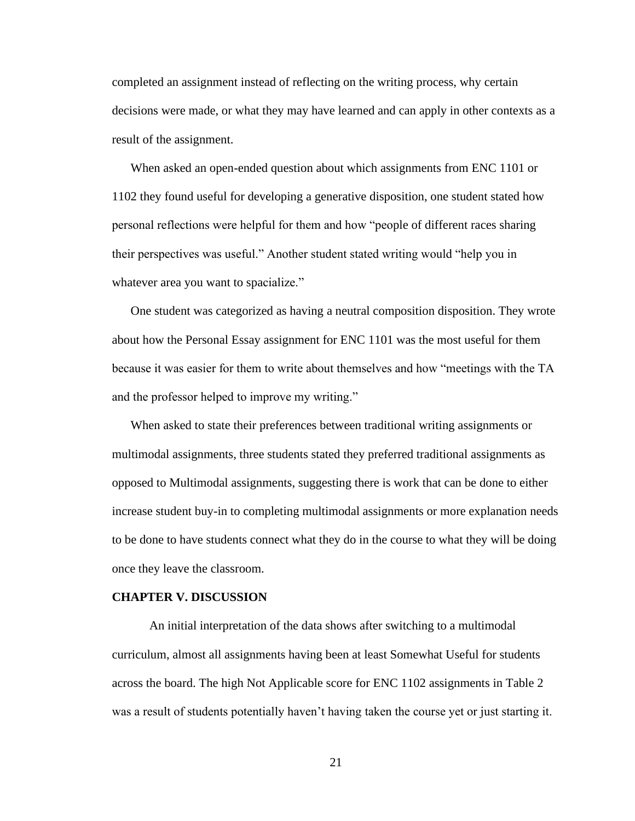completed an assignment instead of reflecting on the writing process, why certain decisions were made, or what they may have learned and can apply in other contexts as a result of the assignment.

When asked an open-ended question about which assignments from ENC 1101 or 1102 they found useful for developing a generative disposition, one student stated how personal reflections were helpful for them and how "people of different races sharing their perspectives was useful." Another student stated writing would "help you in whatever area you want to spacialize."

One student was categorized as having a neutral composition disposition. They wrote about how the Personal Essay assignment for ENC 1101 was the most useful for them because it was easier for them to write about themselves and how "meetings with the TA and the professor helped to improve my writing."

When asked to state their preferences between traditional writing assignments or multimodal assignments, three students stated they preferred traditional assignments as opposed to Multimodal assignments, suggesting there is work that can be done to either increase student buy-in to completing multimodal assignments or more explanation needs to be done to have students connect what they do in the course to what they will be doing once they leave the classroom.

#### **CHAPTER V. DISCUSSION**

An initial interpretation of the data shows after switching to a multimodal curriculum, almost all assignments having been at least Somewhat Useful for students across the board. The high Not Applicable score for ENC 1102 assignments in Table 2 was a result of students potentially haven't having taken the course yet or just starting it.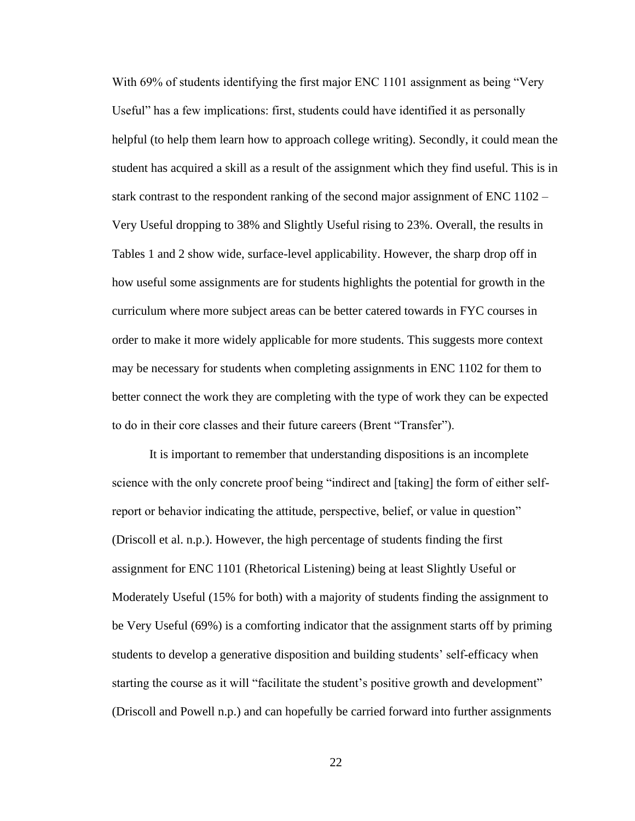With 69% of students identifying the first major ENC 1101 assignment as being "Very Useful" has a few implications: first, students could have identified it as personally helpful (to help them learn how to approach college writing). Secondly, it could mean the student has acquired a skill as a result of the assignment which they find useful. This is in stark contrast to the respondent ranking of the second major assignment of ENC 1102 – Very Useful dropping to 38% and Slightly Useful rising to 23%. Overall, the results in Tables 1 and 2 show wide, surface-level applicability. However, the sharp drop off in how useful some assignments are for students highlights the potential for growth in the curriculum where more subject areas can be better catered towards in FYC courses in order to make it more widely applicable for more students. This suggests more context may be necessary for students when completing assignments in ENC 1102 for them to better connect the work they are completing with the type of work they can be expected to do in their core classes and their future careers (Brent "Transfer").

It is important to remember that understanding dispositions is an incomplete science with the only concrete proof being "indirect and [taking] the form of either selfreport or behavior indicating the attitude, perspective, belief, or value in question" (Driscoll et al. n.p.). However, the high percentage of students finding the first assignment for ENC 1101 (Rhetorical Listening) being at least Slightly Useful or Moderately Useful (15% for both) with a majority of students finding the assignment to be Very Useful (69%) is a comforting indicator that the assignment starts off by priming students to develop a generative disposition and building students' self-efficacy when starting the course as it will "facilitate the student's positive growth and development" (Driscoll and Powell n.p.) and can hopefully be carried forward into further assignments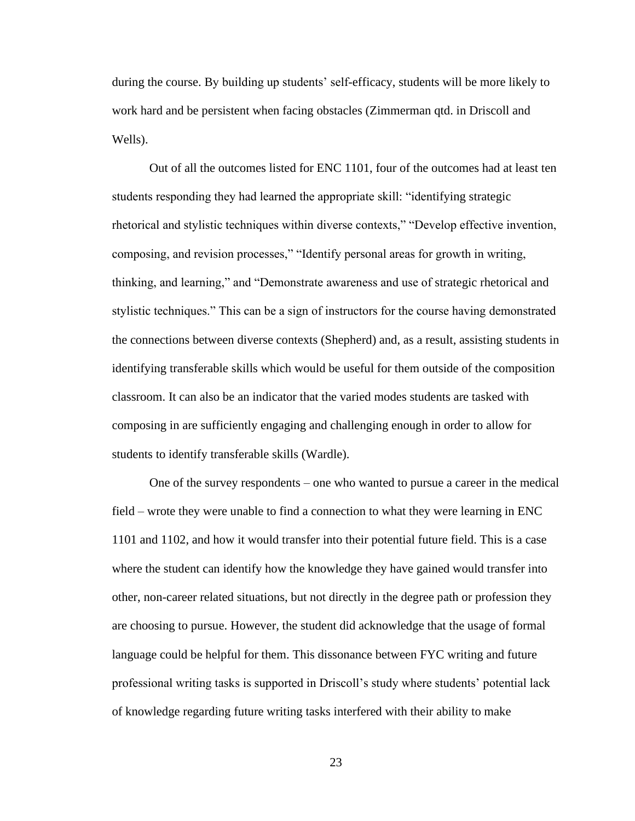during the course. By building up students' self-efficacy, students will be more likely to work hard and be persistent when facing obstacles (Zimmerman qtd. in Driscoll and Wells).

Out of all the outcomes listed for ENC 1101, four of the outcomes had at least ten students responding they had learned the appropriate skill: "identifying strategic rhetorical and stylistic techniques within diverse contexts," "Develop effective invention, composing, and revision processes," "Identify personal areas for growth in writing, thinking, and learning," and "Demonstrate awareness and use of strategic rhetorical and stylistic techniques." This can be a sign of instructors for the course having demonstrated the connections between diverse contexts (Shepherd) and, as a result, assisting students in identifying transferable skills which would be useful for them outside of the composition classroom. It can also be an indicator that the varied modes students are tasked with composing in are sufficiently engaging and challenging enough in order to allow for students to identify transferable skills (Wardle).

One of the survey respondents – one who wanted to pursue a career in the medical field – wrote they were unable to find a connection to what they were learning in ENC 1101 and 1102, and how it would transfer into their potential future field. This is a case where the student can identify how the knowledge they have gained would transfer into other, non-career related situations, but not directly in the degree path or profession they are choosing to pursue. However, the student did acknowledge that the usage of formal language could be helpful for them. This dissonance between FYC writing and future professional writing tasks is supported in Driscoll's study where students' potential lack of knowledge regarding future writing tasks interfered with their ability to make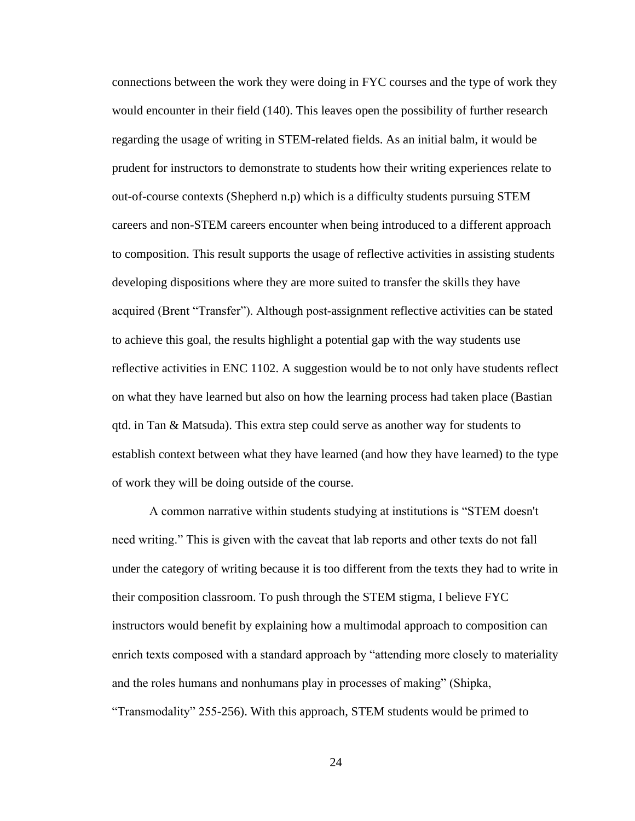connections between the work they were doing in FYC courses and the type of work they would encounter in their field (140). This leaves open the possibility of further research regarding the usage of writing in STEM-related fields. As an initial balm, it would be prudent for instructors to demonstrate to students how their writing experiences relate to out-of-course contexts (Shepherd n.p) which is a difficulty students pursuing STEM careers and non-STEM careers encounter when being introduced to a different approach to composition. This result supports the usage of reflective activities in assisting students developing dispositions where they are more suited to transfer the skills they have acquired (Brent "Transfer"). Although post-assignment reflective activities can be stated to achieve this goal, the results highlight a potential gap with the way students use reflective activities in ENC 1102. A suggestion would be to not only have students reflect on what they have learned but also on how the learning process had taken place (Bastian qtd. in Tan & Matsuda). This extra step could serve as another way for students to establish context between what they have learned (and how they have learned) to the type of work they will be doing outside of the course.

A common narrative within students studying at institutions is "STEM doesn't need writing." This is given with the caveat that lab reports and other texts do not fall under the category of writing because it is too different from the texts they had to write in their composition classroom. To push through the STEM stigma, I believe FYC instructors would benefit by explaining how a multimodal approach to composition can enrich texts composed with a standard approach by "attending more closely to materiality and the roles humans and nonhumans play in processes of making" (Shipka, "Transmodality" 255-256). With this approach, STEM students would be primed to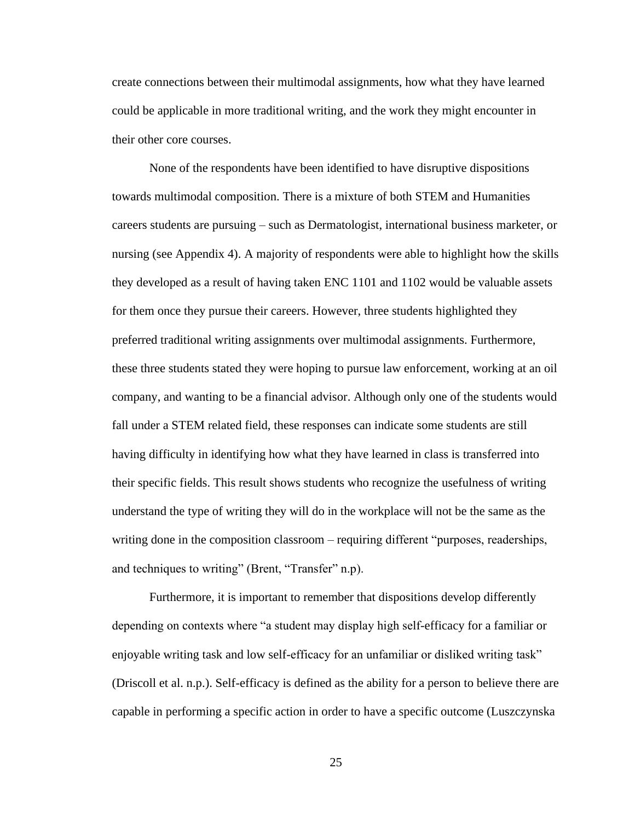create connections between their multimodal assignments, how what they have learned could be applicable in more traditional writing, and the work they might encounter in their other core courses.

None of the respondents have been identified to have disruptive dispositions towards multimodal composition. There is a mixture of both STEM and Humanities careers students are pursuing – such as Dermatologist, international business marketer, or nursing (see Appendix 4). A majority of respondents were able to highlight how the skills they developed as a result of having taken ENC 1101 and 1102 would be valuable assets for them once they pursue their careers. However, three students highlighted they preferred traditional writing assignments over multimodal assignments. Furthermore, these three students stated they were hoping to pursue law enforcement, working at an oil company, and wanting to be a financial advisor. Although only one of the students would fall under a STEM related field, these responses can indicate some students are still having difficulty in identifying how what they have learned in class is transferred into their specific fields. This result shows students who recognize the usefulness of writing understand the type of writing they will do in the workplace will not be the same as the writing done in the composition classroom – requiring different "purposes, readerships, and techniques to writing" (Brent, "Transfer" n.p).

Furthermore, it is important to remember that dispositions develop differently depending on contexts where "a student may display high self-efficacy for a familiar or enjoyable writing task and low self-efficacy for an unfamiliar or disliked writing task" (Driscoll et al. n.p.). Self-efficacy is defined as the ability for a person to believe there are capable in performing a specific action in order to have a specific outcome (Luszczynska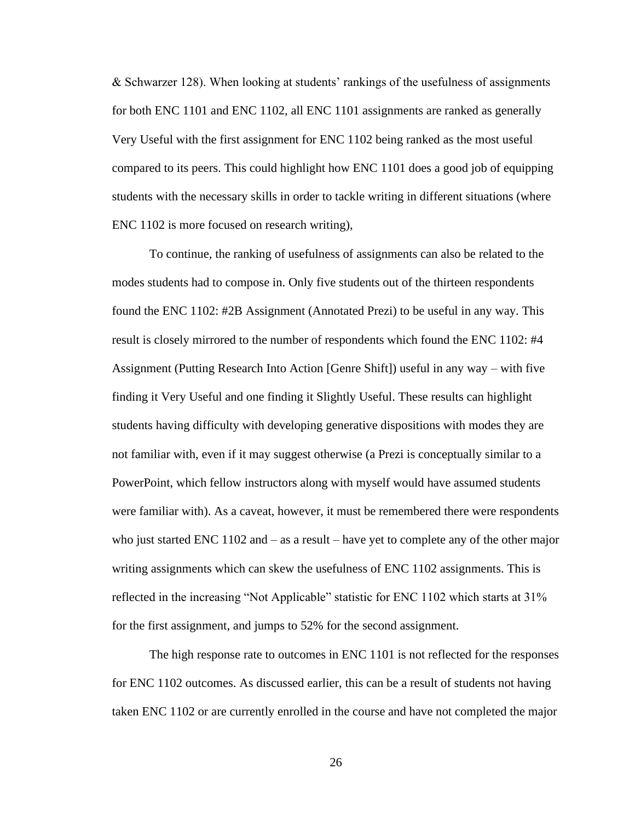& Schwarzer 128). When looking at students' rankings of the usefulness of assignments for both ENC 1101 and ENC 1102, all ENC 1101 assignments are ranked as generally Very Useful with the first assignment for ENC 1102 being ranked as the most useful compared to its peers. This could highlight how ENC 1101 does a good job of equipping students with the necessary skills in order to tackle writing in different situations (where ENC 1102 is more focused on research writing),

To continue, the ranking of usefulness of assignments can also be related to the modes students had to compose in. Only five students out of the thirteen respondents found the ENC 1102: #2B Assignment (Annotated Prezi) to be useful in any way. This result is closely mirrored to the number of respondents which found the ENC 1102: #4 Assignment (Putting Research Into Action [Genre Shift]) useful in any way – with five finding it Very Useful and one finding it Slightly Useful. These results can highlight students having difficulty with developing generative dispositions with modes they are not familiar with, even if it may suggest otherwise (a Prezi is conceptually similar to a PowerPoint, which fellow instructors along with myself would have assumed students were familiar with). As a caveat, however, it must be remembered there were respondents who just started ENC 1102 and  $-$  as a result  $-$  have yet to complete any of the other major writing assignments which can skew the usefulness of ENC 1102 assignments. This is reflected in the increasing "Not Applicable" statistic for ENC 1102 which starts at 31% for the first assignment, and jumps to 52% for the second assignment.

The high response rate to outcomes in ENC 1101 is not reflected for the responses for ENC 1102 outcomes. As discussed earlier, this can be a result of students not having taken ENC 1102 or are currently enrolled in the course and have not completed the major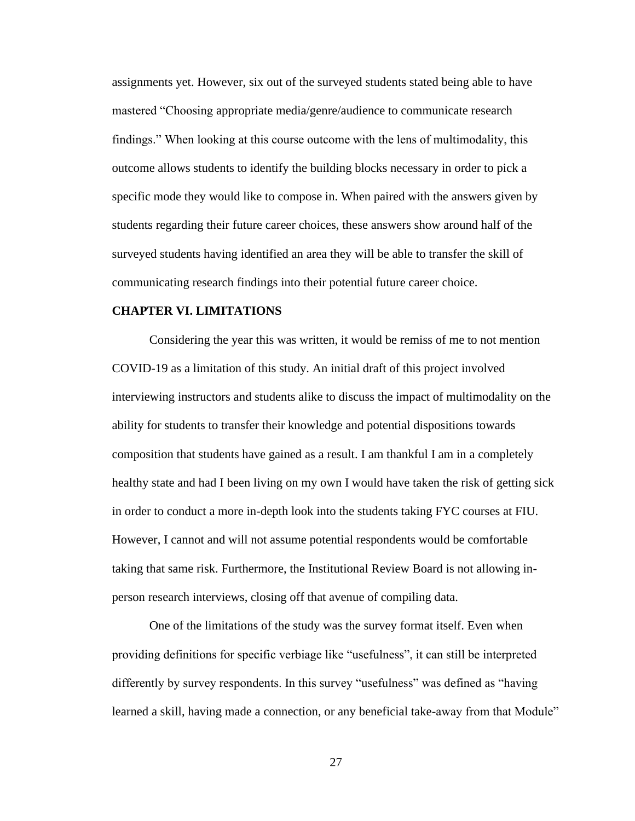assignments yet. However, six out of the surveyed students stated being able to have mastered "Choosing appropriate media/genre/audience to communicate research findings." When looking at this course outcome with the lens of multimodality, this outcome allows students to identify the building blocks necessary in order to pick a specific mode they would like to compose in. When paired with the answers given by students regarding their future career choices, these answers show around half of the surveyed students having identified an area they will be able to transfer the skill of communicating research findings into their potential future career choice.

#### **CHAPTER VI. LIMITATIONS**

Considering the year this was written, it would be remiss of me to not mention COVID-19 as a limitation of this study. An initial draft of this project involved interviewing instructors and students alike to discuss the impact of multimodality on the ability for students to transfer their knowledge and potential dispositions towards composition that students have gained as a result. I am thankful I am in a completely healthy state and had I been living on my own I would have taken the risk of getting sick in order to conduct a more in-depth look into the students taking FYC courses at FIU. However, I cannot and will not assume potential respondents would be comfortable taking that same risk. Furthermore, the Institutional Review Board is not allowing inperson research interviews, closing off that avenue of compiling data.

One of the limitations of the study was the survey format itself. Even when providing definitions for specific verbiage like "usefulness", it can still be interpreted differently by survey respondents. In this survey "usefulness" was defined as "having learned a skill, having made a connection, or any beneficial take-away from that Module"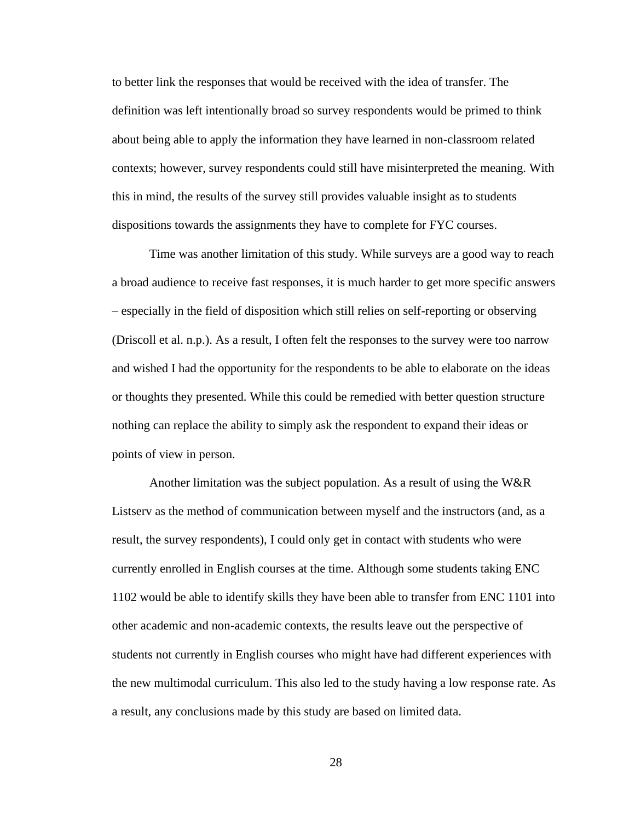to better link the responses that would be received with the idea of transfer. The definition was left intentionally broad so survey respondents would be primed to think about being able to apply the information they have learned in non-classroom related contexts; however, survey respondents could still have misinterpreted the meaning. With this in mind, the results of the survey still provides valuable insight as to students dispositions towards the assignments they have to complete for FYC courses.

Time was another limitation of this study. While surveys are a good way to reach a broad audience to receive fast responses, it is much harder to get more specific answers – especially in the field of disposition which still relies on self-reporting or observing (Driscoll et al. n.p.). As a result, I often felt the responses to the survey were too narrow and wished I had the opportunity for the respondents to be able to elaborate on the ideas or thoughts they presented. While this could be remedied with better question structure nothing can replace the ability to simply ask the respondent to expand their ideas or points of view in person.

Another limitation was the subject population. As a result of using the W&R Listserv as the method of communication between myself and the instructors (and, as a result, the survey respondents), I could only get in contact with students who were currently enrolled in English courses at the time. Although some students taking ENC 1102 would be able to identify skills they have been able to transfer from ENC 1101 into other academic and non-academic contexts, the results leave out the perspective of students not currently in English courses who might have had different experiences with the new multimodal curriculum. This also led to the study having a low response rate. As a result, any conclusions made by this study are based on limited data.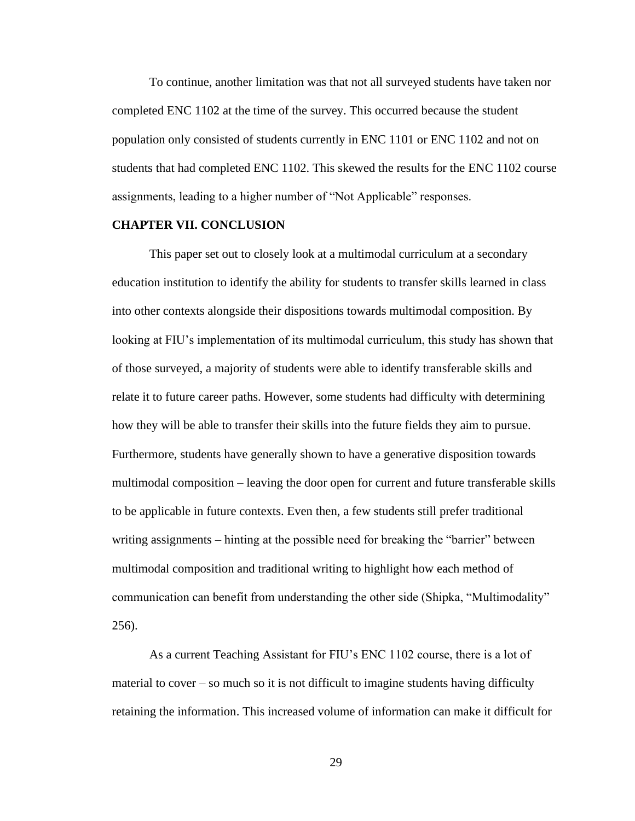To continue, another limitation was that not all surveyed students have taken nor completed ENC 1102 at the time of the survey. This occurred because the student population only consisted of students currently in ENC 1101 or ENC 1102 and not on students that had completed ENC 1102. This skewed the results for the ENC 1102 course assignments, leading to a higher number of "Not Applicable" responses.

#### **CHAPTER VII. CONCLUSION**

This paper set out to closely look at a multimodal curriculum at a secondary education institution to identify the ability for students to transfer skills learned in class into other contexts alongside their dispositions towards multimodal composition. By looking at FIU's implementation of its multimodal curriculum, this study has shown that of those surveyed, a majority of students were able to identify transferable skills and relate it to future career paths. However, some students had difficulty with determining how they will be able to transfer their skills into the future fields they aim to pursue. Furthermore, students have generally shown to have a generative disposition towards multimodal composition – leaving the door open for current and future transferable skills to be applicable in future contexts. Even then, a few students still prefer traditional writing assignments – hinting at the possible need for breaking the "barrier" between multimodal composition and traditional writing to highlight how each method of communication can benefit from understanding the other side (Shipka, "Multimodality" 256).

As a current Teaching Assistant for FIU's ENC 1102 course, there is a lot of material to cover – so much so it is not difficult to imagine students having difficulty retaining the information. This increased volume of information can make it difficult for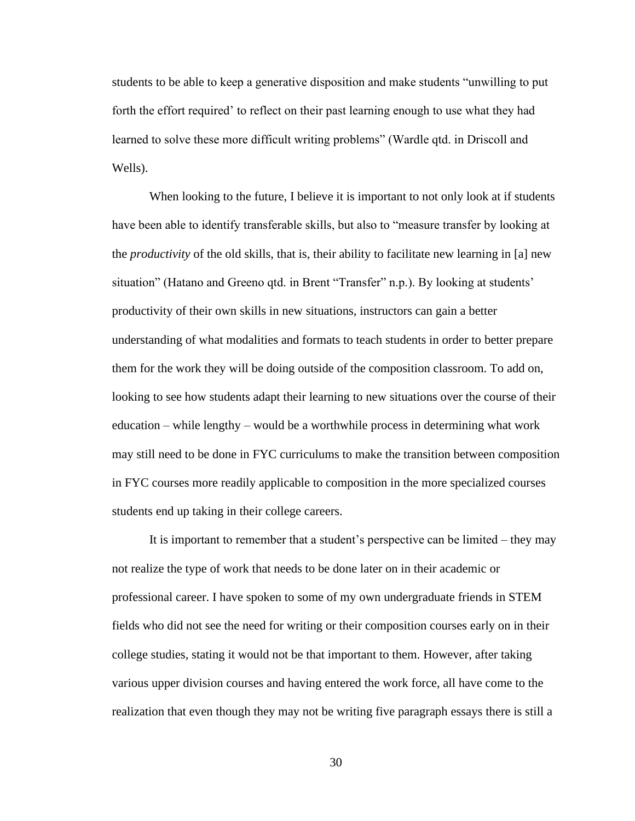students to be able to keep a generative disposition and make students "unwilling to put forth the effort required' to reflect on their past learning enough to use what they had learned to solve these more difficult writing problems" (Wardle qtd. in Driscoll and Wells).

When looking to the future, I believe it is important to not only look at if students have been able to identify transferable skills, but also to "measure transfer by looking at the *productivity* of the old skills, that is, their ability to facilitate new learning in [a] new situation" (Hatano and Greeno qtd. in Brent "Transfer" n.p.). By looking at students' productivity of their own skills in new situations, instructors can gain a better understanding of what modalities and formats to teach students in order to better prepare them for the work they will be doing outside of the composition classroom. To add on, looking to see how students adapt their learning to new situations over the course of their education – while lengthy – would be a worthwhile process in determining what work may still need to be done in FYC curriculums to make the transition between composition in FYC courses more readily applicable to composition in the more specialized courses students end up taking in their college careers.

It is important to remember that a student's perspective can be limited – they may not realize the type of work that needs to be done later on in their academic or professional career. I have spoken to some of my own undergraduate friends in STEM fields who did not see the need for writing or their composition courses early on in their college studies, stating it would not be that important to them. However, after taking various upper division courses and having entered the work force, all have come to the realization that even though they may not be writing five paragraph essays there is still a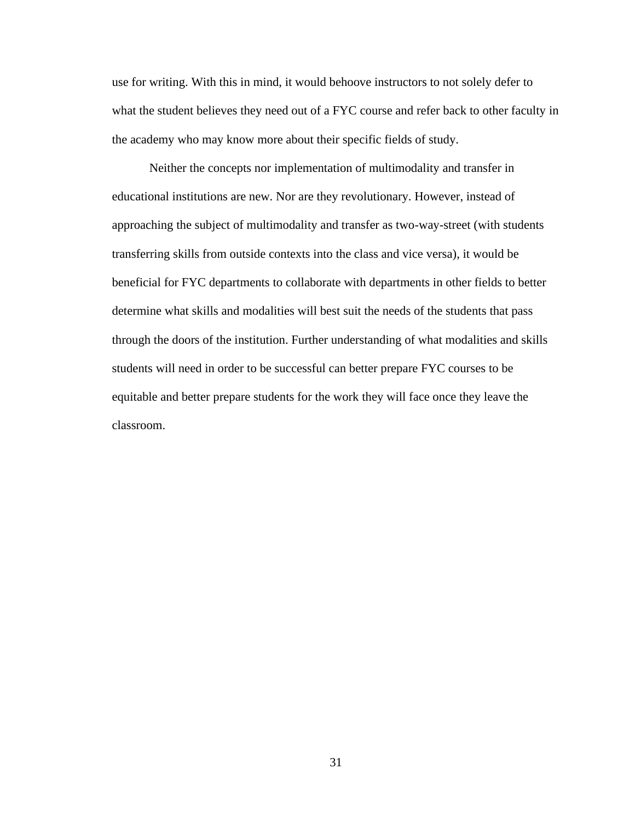use for writing. With this in mind, it would behoove instructors to not solely defer to what the student believes they need out of a FYC course and refer back to other faculty in the academy who may know more about their specific fields of study.

Neither the concepts nor implementation of multimodality and transfer in educational institutions are new. Nor are they revolutionary. However, instead of approaching the subject of multimodality and transfer as two-way-street (with students transferring skills from outside contexts into the class and vice versa), it would be beneficial for FYC departments to collaborate with departments in other fields to better determine what skills and modalities will best suit the needs of the students that pass through the doors of the institution. Further understanding of what modalities and skills students will need in order to be successful can better prepare FYC courses to be equitable and better prepare students for the work they will face once they leave the classroom.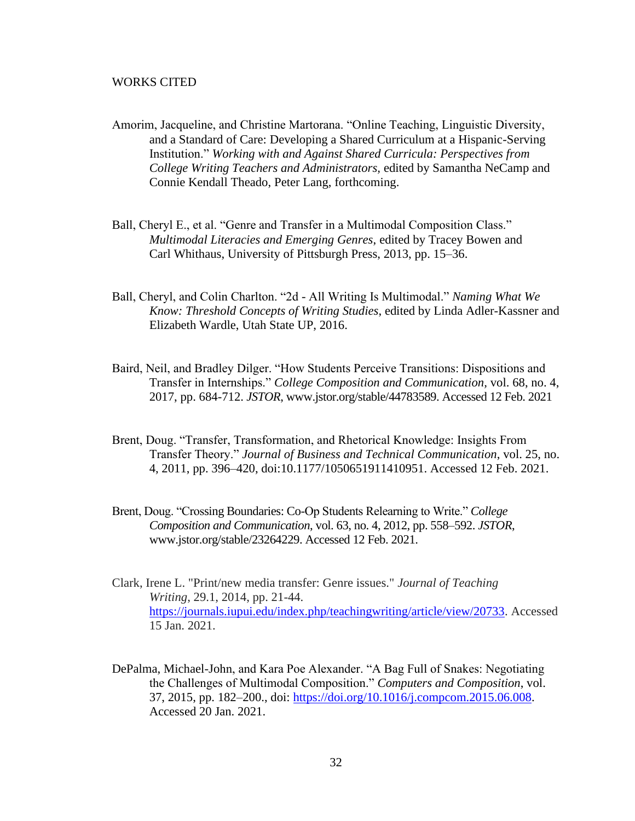#### WORKS CITED

- Amorim, Jacqueline, and Christine Martorana. "Online Teaching, Linguistic Diversity, and a Standard of Care: Developing a Shared Curriculum at a Hispanic-Serving Institution." *Working with and Against Shared Curricula: Perspectives from College Writing Teachers and Administrators,* edited by Samantha NeCamp and Connie Kendall Theado, Peter Lang, forthcoming.
- Ball, Cheryl E., et al. "Genre and Transfer in a Multimodal Composition Class." *Multimodal Literacies and Emerging Genres*, edited by Tracey Bowen and Carl Whithaus, University of Pittsburgh Press, 2013, pp. 15–36.
- Ball, Cheryl, and Colin Charlton. "2d All Writing Is Multimodal." *Naming What We Know: Threshold Concepts of Writing Studies*, edited by Linda Adler-Kassner and Elizabeth Wardle, Utah State UP, 2016.
- Baird, Neil, and Bradley Dilger. "How Students Perceive Transitions: Dispositions and Transfer in Internships." *College Composition and Communication,* vol. 68, no. 4, 2017, pp. 684-712. *JSTOR*, www.jstor.org/stable/44783589. Accessed 12 Feb. 2021
- Brent, Doug. "Transfer, Transformation, and Rhetorical Knowledge: Insights From Transfer Theory." *Journal of Business and Technical Communication*, vol. 25, no. 4, 2011, pp. 396–420, doi:10.1177/1050651911410951. Accessed 12 Feb. 2021.
- Brent, Doug. "Crossing Boundaries: Co-Op Students Relearning to Write." *College Composition and Communication*, vol. 63, no. 4, 2012, pp. 558–592. *JSTOR*, www.jstor.org/stable/23264229. Accessed 12 Feb. 2021.
- Clark, Irene L. "Print/new media transfer: Genre issues." *Journal of Teaching Writing*, 29.1, 2014, pp. 21-44. [https://journals.iupui.edu/index.php/teachingwriting/article/view/20733.](https://journals.iupui.edu/index.php/teachingwriting/article/view/20733) Accessed 15 Jan. 2021.
- DePalma, Michael-John, and Kara Poe Alexander. "A Bag Full of Snakes: Negotiating the Challenges of Multimodal Composition." *Computers and Composition*, vol. 37, 2015, pp. 182–200., doi: [https://doi.org/10.1016/j.compcom.2015.06.008.](https://doi.org/10.1016/j.compcom.2015.06.008) Accessed 20 Jan. 2021.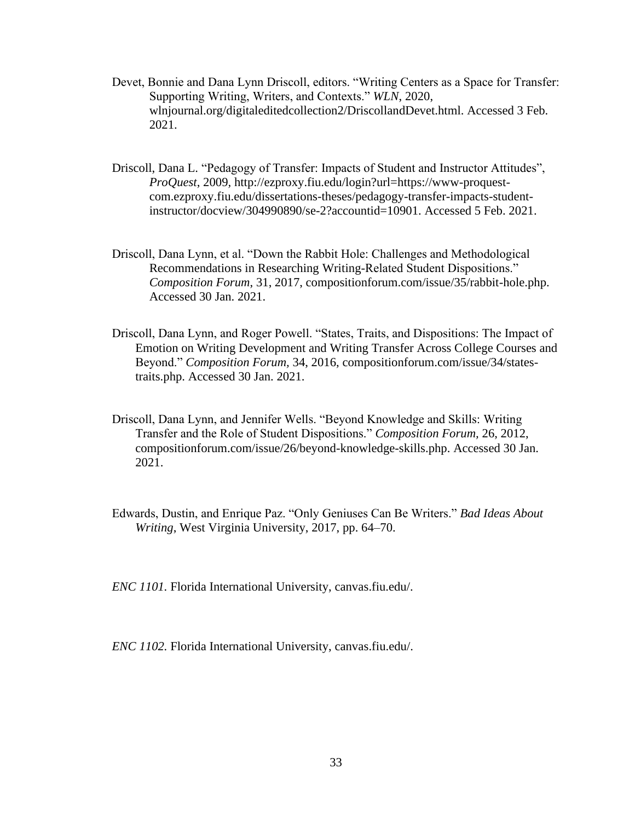- Devet, Bonnie and Dana Lynn Driscoll, editors. "Writing Centers as a Space for Transfer: Supporting Writing, Writers, and Contexts." *WLN*, 2020, wlnjournal.org/digitaleditedcollection2/DriscollandDevet.html. Accessed 3 Feb. 2021.
- Driscoll, Dana L. "Pedagogy of Transfer: Impacts of Student and Instructor Attitudes", *ProQuest*, 2009*,* http://ezproxy.fiu.edu/login?url=https://www-proquestcom.ezproxy.fiu.edu/dissertations-theses/pedagogy-transfer-impacts-studentinstructor/docview/304990890/se-2?accountid=10901. Accessed 5 Feb. 2021.
- Driscoll, Dana Lynn, et al. "Down the Rabbit Hole: Challenges and Methodological Recommendations in Researching Writing-Related Student Dispositions." *Composition Forum*, 31, 2017, compositionforum.com/issue/35/rabbit-hole.php. Accessed 30 Jan. 2021.
- Driscoll, Dana Lynn, and Roger Powell. "States, Traits, and Dispositions: The Impact of Emotion on Writing Development and Writing Transfer Across College Courses and Beyond." *Composition Forum,* 34, 2016, compositionforum.com/issue/34/statestraits.php. Accessed 30 Jan. 2021.
- Driscoll, Dana Lynn, and Jennifer Wells. "Beyond Knowledge and Skills: Writing Transfer and the Role of Student Dispositions." *Composition Forum,* 26, 2012, compositionforum.com/issue/26/beyond-knowledge-skills.php. Accessed 30 Jan. 2021.
- Edwards, Dustin, and Enrique Paz. "Only Geniuses Can Be Writers." *Bad Ideas About Writing*, West Virginia University, 2017, pp. 64–70.

*ENC 1101.* Florida International University, canvas.fiu.edu/.

*ENC 1102.* Florida International University, canvas.fiu.edu/.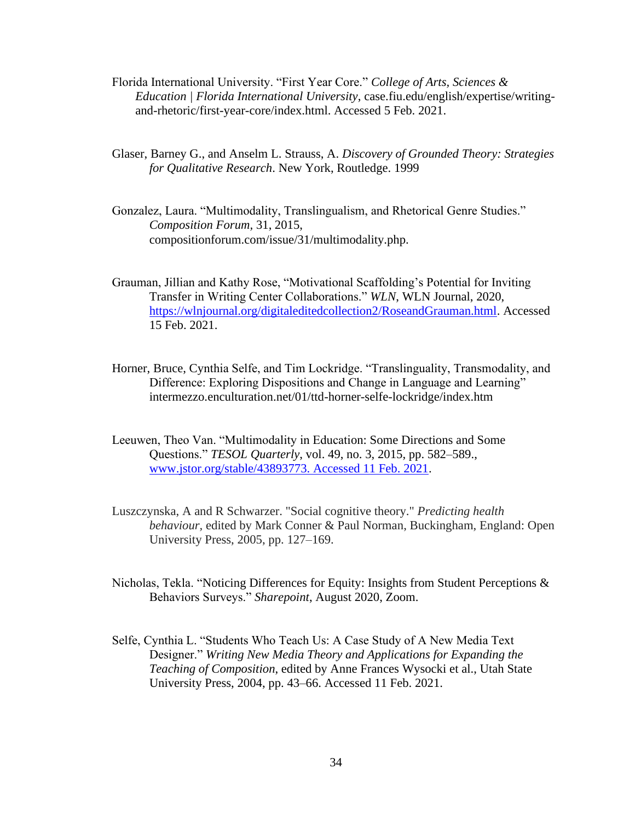- Florida International University. "First Year Core." *College of Arts, Sciences & Education | Florida International University*, case.fiu.edu/english/expertise/writingand-rhetoric/first-year-core/index.html. Accessed 5 Feb. 2021.
- Glaser, Barney G., and Anselm L. Strauss, A. *Discovery of Grounded Theory: Strategies for Qualitative Research*. New York, Routledge. 1999
- Gonzalez, Laura. "Multimodality, Translingualism, and Rhetorical Genre Studies." *Composition Forum,* 31, 2015, compositionforum.com/issue/31/multimodality.php.
- Grauman, Jillian and Kathy Rose, "Motivational Scaffolding's Potential for Inviting Transfer in Writing Center Collaborations." *WLN*, WLN Journal, 2020, [https://wlnjournal.org/digitaleditedcollection2/RoseandGrauman.html.](https://wlnjournal.org/digitaleditedcollection2/RoseandGrauman.html) Accessed 15 Feb. 2021.
- Horner, Bruce, Cynthia Selfe, and Tim Lockridge. "Translinguality, Transmodality, and Difference: Exploring Dispositions and Change in Language and Learning" intermezzo.enculturation.net/01/ttd-horner-selfe-lockridge/index.htm
- Leeuwen, Theo Van. "Multimodality in Education: Some Directions and Some Questions." *TESOL Quarterly*, vol. 49, no. 3, 2015, pp. 582–589., [www.jstor.org/stable/43893773. Accessed 11 Feb. 2021.](http://www.jstor.org/stable/43893773.%20Accessed%2011%20Feb.%202021)
- Luszczynska, A and R Schwarzer. "Social cognitive theory." *Predicting health behaviour,* edited by Mark Conner & Paul Norman, Buckingham, England: Open University Press, 2005, pp. 127–169.
- Nicholas, Tekla. "Noticing Differences for Equity: Insights from Student Perceptions  $\&$ Behaviors Surveys." *Sharepoint*, August 2020, Zoom.
- Selfe, Cynthia L. "Students Who Teach Us: A Case Study of A New Media Text Designer." *Writing New Media Theory and Applications for Expanding the Teaching of Composition*, edited by Anne Frances Wysocki et al., Utah State University Press, 2004, pp. 43–66. Accessed 11 Feb. 2021.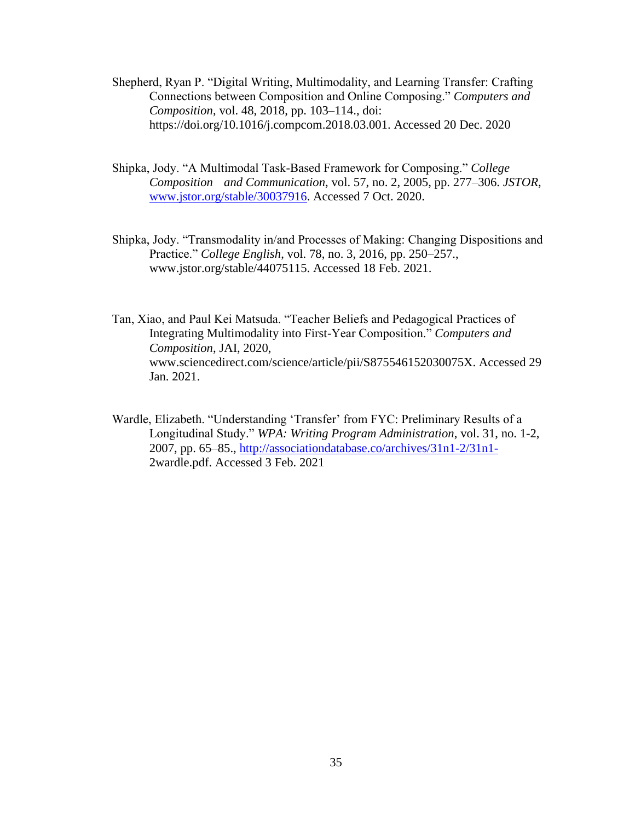- Shepherd, Ryan P. "Digital Writing, Multimodality, and Learning Transfer: Crafting Connections between Composition and Online Composing." *Computers and Composition*, vol. 48, 2018, pp. 103–114., doi: https://doi.org/10.1016/j.compcom.2018.03.001. Accessed 20 Dec. 2020
- Shipka, Jody. "A Multimodal Task-Based Framework for Composing." *College Composition and Communication*, vol. 57, no. 2, 2005, pp. 277–306. *JSTOR*, [www.jstor.org/stable/30037916.](http://www.jstor.org/stable/30037916) Accessed 7 Oct. 2020.
- Shipka, Jody. "Transmodality in/and Processes of Making: Changing Dispositions and Practice." *College English*, vol. 78, no. 3, 2016, pp. 250–257., www.jstor.org/stable/44075115. Accessed 18 Feb. 2021.
- Tan, Xiao, and Paul Kei Matsuda. "Teacher Beliefs and Pedagogical Practices of Integrating Multimodality into First-Year Composition." *Computers and Composition*, JAI, 2020, www.sciencedirect.com/science/article/pii/S875546152030075X. Accessed 29 Jan. 2021.
- Wardle, Elizabeth. "Understanding 'Transfer' from FYC: Preliminary Results of a Longitudinal Study." *WPA: Writing Program Administration*, vol. 31, no. 1-2, 2007, pp. 65–85.,<http://associationdatabase.co/archives/31n1-2/31n1-> 2wardle.pdf. Accessed 3 Feb. 2021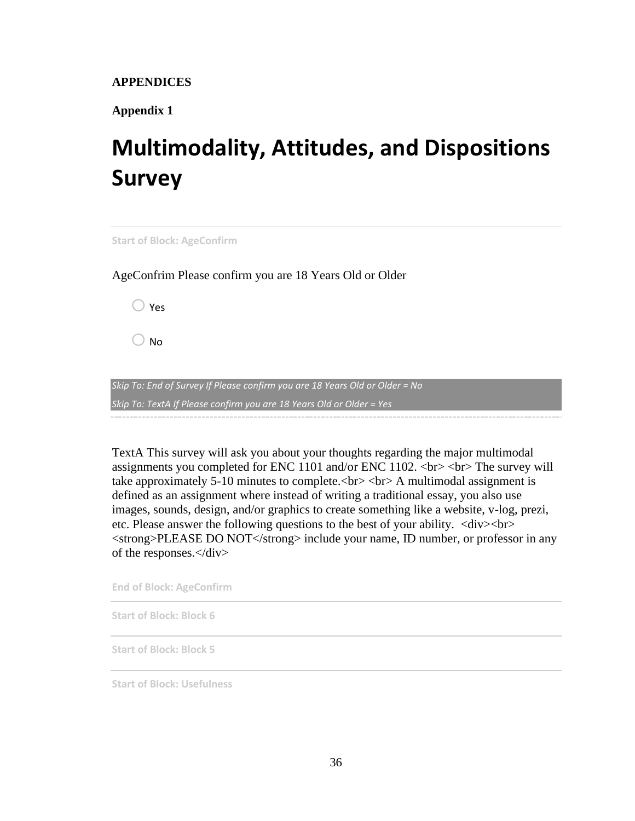**APPENDICES**

**Appendix 1**

# **Multimodality, Attitudes, and Dispositions Survey**

**Start of Block: AgeConfirm**

AgeConfrim Please confirm you are 18 Years Old or Older

 $\bigcirc$  Yes

 $\bigcirc$  No

*Skip To: End of Survey If Please confirm you are 18 Years Old or Older = No Skip To: TextA If Please confirm you are 18 Years Old or Older = Yes*

TextA This survey will ask you about your thoughts regarding the major multimodal assignments you completed for ENC 1101 and/or ENC 1102. <br> <br> The survey will take approximately 5-10 minutes to complete.<br> <br> A multimodal assignment is defined as an assignment where instead of writing a traditional essay, you also use images, sounds, design, and/or graphics to create something like a website, v-log, prezi, etc. Please answer the following questions to the best of your ability. <div><br> <strong>PLEASE DO NOT</strong> include your name, ID number, or professor in any of the responses.</div>

**End of Block: AgeConfirm**

**Start of Block: Block 6**

**Start of Block: Block 5**

**Start of Block: Usefulness**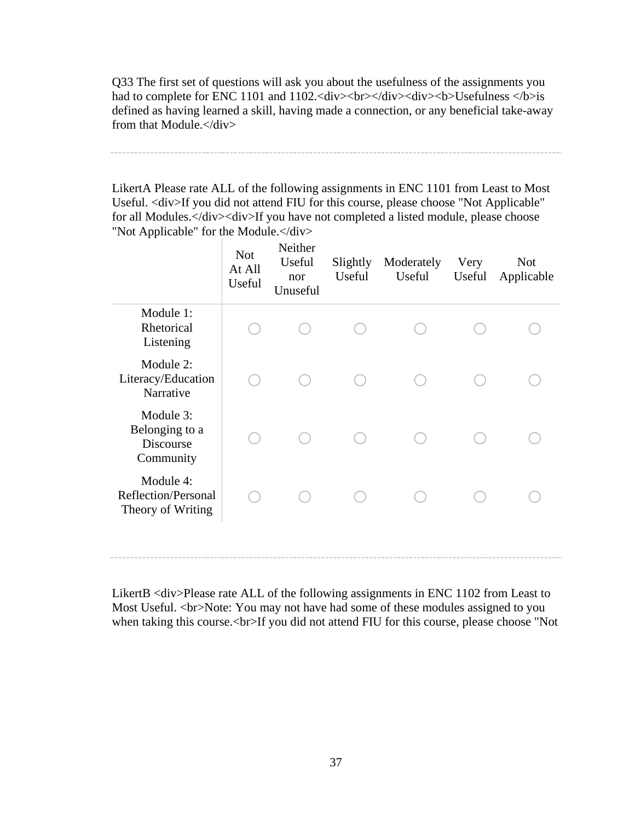Q33 The first set of questions will ask you about the usefulness of the assignments you had to complete for ENC 1101 and 1102.<div><br/>shad in the state of the state of the state of the state of the state<br/>in the state of the state of the state of the state of the state<br/>in the state of the state of th defined as having learned a skill, having made a connection, or any beneficial take-away from that Module.</div>

LikertA Please rate ALL of the following assignments in ENC 1101 from Least to Most Useful. <div>If you did not attend FIU for this course, please choose "Not Applicable" for all Modules.</div><div>If you have not completed a listed module, please choose "Not Applicable" for the Module.</div>

|                                                       | <b>Not</b><br>At All<br>Useful | Neither<br>Useful<br>nor<br>Unuseful | Slightly<br>Useful | Moderately<br>Useful | Very<br>Useful | <b>Not</b><br>Applicable |
|-------------------------------------------------------|--------------------------------|--------------------------------------|--------------------|----------------------|----------------|--------------------------|
| Module 1:<br>Rhetorical<br>Listening                  |                                |                                      |                    |                      |                |                          |
| Module 2:<br>Literacy/Education<br>Narrative          |                                |                                      |                    |                      |                |                          |
| Module 3:<br>Belonging to a<br>Discourse<br>Community |                                |                                      |                    |                      |                |                          |
| Module 4:<br>Reflection/Personal<br>Theory of Writing |                                |                                      |                    |                      |                |                          |
|                                                       |                                |                                      |                    |                      |                |                          |

LikertB <div>Please rate ALL of the following assignments in ENC 1102 from Least to Most Useful. <br>Note: You may not have had some of these modules assigned to you when taking this course.<br>>br>If you did not attend FIU for this course, please choose "Not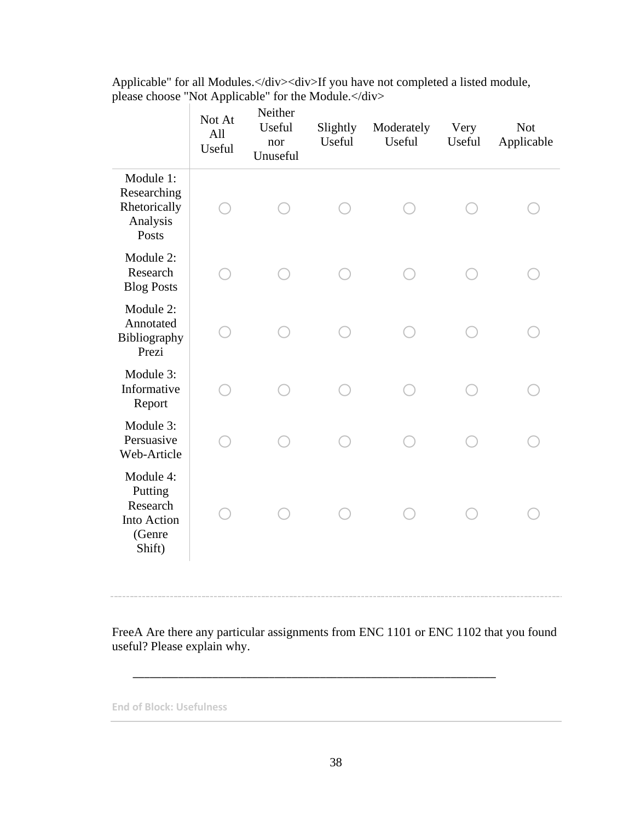|                                                                     | Not At<br>All<br>Useful | Neither<br>Useful<br>nor<br>Unuseful | Slightly<br>Useful | Moderately<br>Useful | Very<br>Useful | <b>Not</b><br>Applicable |
|---------------------------------------------------------------------|-------------------------|--------------------------------------|--------------------|----------------------|----------------|--------------------------|
| Module 1:<br>Researching<br>Rhetorically<br>Analysis<br>Posts       |                         |                                      |                    |                      |                |                          |
| Module 2:<br>Research<br><b>Blog Posts</b>                          |                         |                                      |                    |                      |                |                          |
| Module 2:<br>Annotated<br>Bibliography<br>Prezi                     |                         |                                      |                    |                      |                |                          |
| Module 3:<br>Informative<br>Report                                  |                         |                                      |                    |                      |                |                          |
| Module 3:<br>Persuasive<br>Web-Article                              |                         |                                      |                    |                      |                |                          |
| Module 4:<br>Putting<br>Research<br>Into Action<br>(Genre<br>Shift) |                         |                                      |                    |                      |                |                          |

Applicable" for all Modules.</div><div>If you have not completed a listed module, please choose "Not Applicable" for the Module.</div>

FreeA Are there any particular assignments from ENC 1101 or ENC 1102 that you found useful? Please explain why.

\_\_\_\_\_\_\_\_\_\_\_\_\_\_\_\_\_\_\_\_\_\_\_\_\_\_\_\_\_\_\_\_\_\_\_\_\_\_\_\_\_\_\_\_\_\_\_\_\_\_\_\_\_\_\_\_\_\_\_\_\_\_\_\_

**End of Block: Usefulness**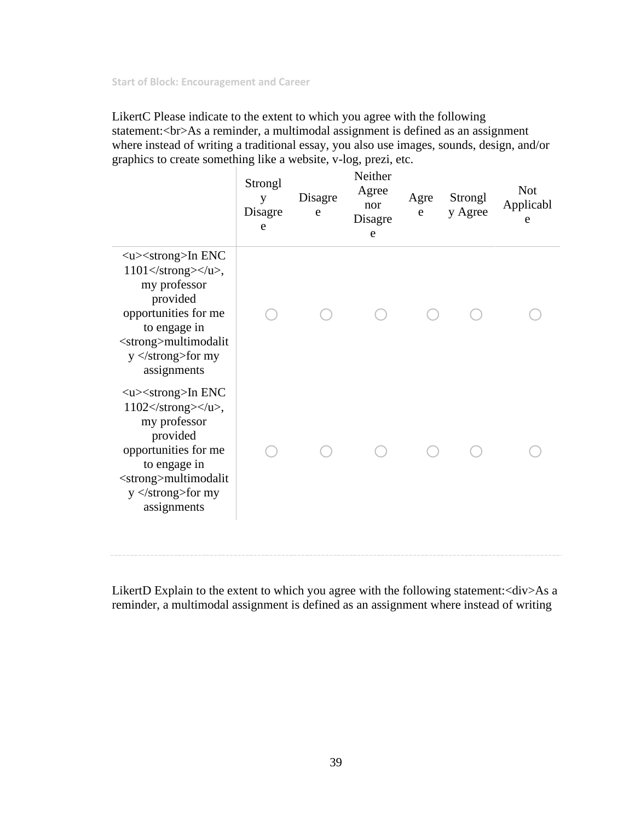**Start of Block: Encouragement and Career**

LikertC Please indicate to the extent to which you agree with the following statement:<br>As a reminder, a multimodal assignment is defined as an assignment where instead of writing a traditional essay, you also use images, sounds, design, and/or graphics to create something like a website, v-log, prezi, etc.

|                                                                                                                                                                                                                                                | Strongl<br>y<br>Disagre<br>e | Disagre<br>e | Neither<br>Agree<br>nor<br>Disagre<br>e | Agre<br>e | Strongl<br>y Agree | <b>Not</b><br>Applicabl<br>e |
|------------------------------------------------------------------------------------------------------------------------------------------------------------------------------------------------------------------------------------------------|------------------------------|--------------|-----------------------------------------|-----------|--------------------|------------------------------|
| $\langle u \rangle \langle$ strong>In ENC<br>$1101 \times \mathrm{strong} \times \mathrm{up}$ ,<br>my professor<br>provided<br>opportunities for me<br>to engage in<br><strong>multimodalit<br/><math>y</math> </strong> for my<br>assignments |                              |              |                                         |           |                    |                              |
| $\langle u \rangle \langle$ strong>In ENC<br>$1102 \lt$ /strong> $\lt$ /u>,<br>my professor<br>provided<br>opportunities for me<br>to engage in<br><strong>multimodalit<br/>y </strong> for my<br>assignments                                  |                              |              |                                         |           |                    |                              |

LikertD Explain to the extent to which you agree with the following statement:<div>As a reminder, a multimodal assignment is defined as an assignment where instead of writing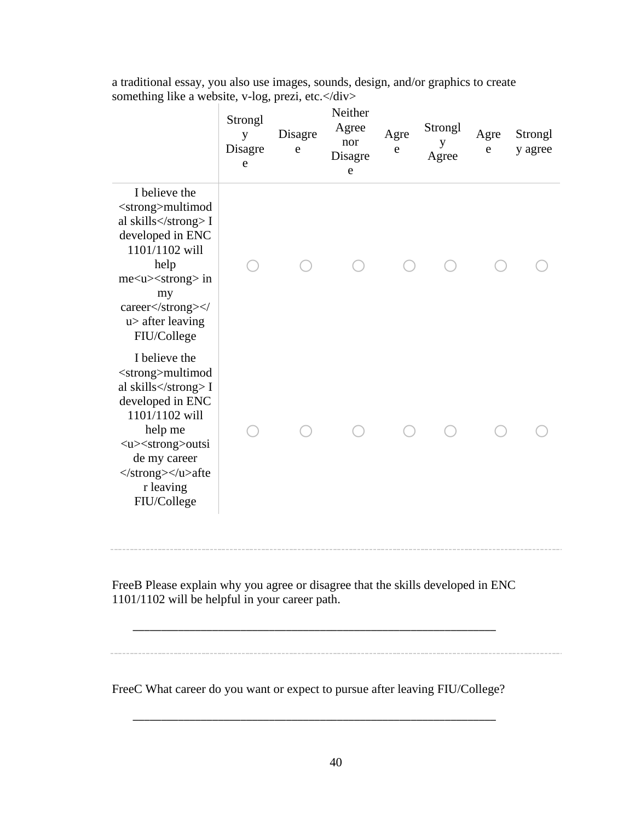| a traditional essay, you also use images, sounds, design, and/or graphics to create |  |
|-------------------------------------------------------------------------------------|--|
| something like a website, v-log, prezi, etc. $\langle \text{div} \rangle$           |  |

|                                                                                                                                                                                                                    | Strongl<br>y<br>Disagre<br>e | Disagre<br>e | Neither<br>Agree<br>nor<br>Disagre<br>${\rm e}$ | Agre<br>e | Strongl<br>y<br>Agree | Agre<br>e | Strongl<br>y agree |
|--------------------------------------------------------------------------------------------------------------------------------------------------------------------------------------------------------------------|------------------------------|--------------|-------------------------------------------------|-----------|-----------------------|-----------|--------------------|
| I believe the<br><strong>multimod<br/>al skills</strong> I<br>developed in ENC<br>1101/1102 will<br>help<br>me <u><strong> in<br/>my<br/>career</strong><!--<br--><math>u</math> after leaving<br/>FIU/College</u> |                              |              |                                                 |           |                       |           |                    |
| I believe the<br><strong>multimod<br/>al skills</strong> I<br>developed in ENC<br>1101/1102 will<br>help me<br><u><strong>outsi<br/>de my career<br/></strong></u> afte<br>r leaving<br>FIU/College                |                              |              |                                                 |           |                       |           |                    |

FreeB Please explain why you agree or disagree that the skills developed in ENC 1101/1102 will be helpful in your career path.

\_\_\_\_\_\_\_\_\_\_\_\_\_\_\_\_\_\_\_\_\_\_\_\_\_\_\_\_\_\_\_\_\_\_\_\_\_\_\_\_\_\_\_\_\_\_\_\_\_\_\_\_\_\_\_\_\_\_\_\_\_\_\_\_

FreeC What career do you want or expect to pursue after leaving FIU/College?

\_\_\_\_\_\_\_\_\_\_\_\_\_\_\_\_\_\_\_\_\_\_\_\_\_\_\_\_\_\_\_\_\_\_\_\_\_\_\_\_\_\_\_\_\_\_\_\_\_\_\_\_\_\_\_\_\_\_\_\_\_\_\_\_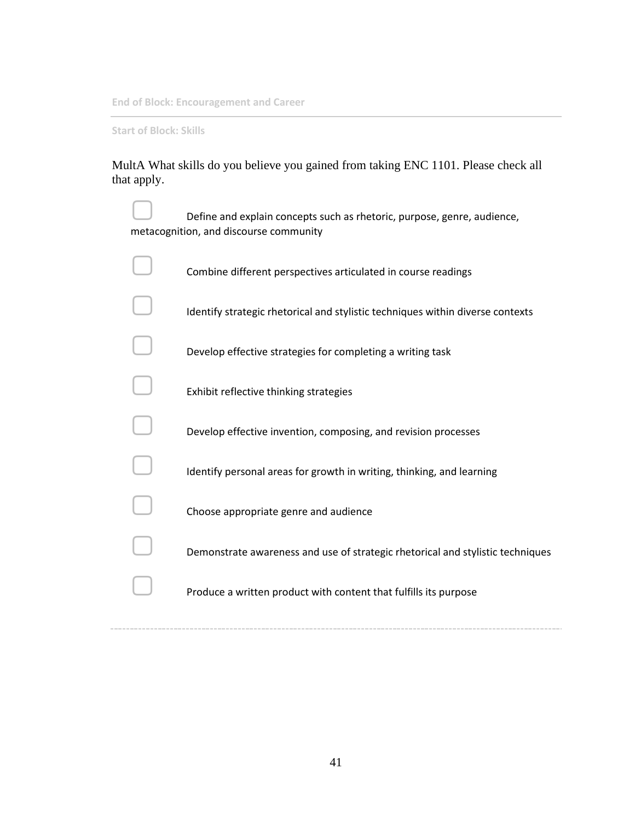**End of Block: Encouragement and Career**

**Start of Block: Skills**

MultA What skills do you believe you gained from taking ENC 1101. Please check all that apply.

| Define and explain concepts such as rhetoric, purpose, genre, audience,<br>metacognition, and discourse community |
|-------------------------------------------------------------------------------------------------------------------|
| Combine different perspectives articulated in course readings                                                     |
| Identify strategic rhetorical and stylistic techniques within diverse contexts                                    |
| Develop effective strategies for completing a writing task                                                        |
| Exhibit reflective thinking strategies                                                                            |
| Develop effective invention, composing, and revision processes                                                    |
| Identify personal areas for growth in writing, thinking, and learning                                             |
| Choose appropriate genre and audience                                                                             |
| Demonstrate awareness and use of strategic rhetorical and stylistic techniques                                    |
| Produce a written product with content that fulfills its purpose                                                  |
|                                                                                                                   |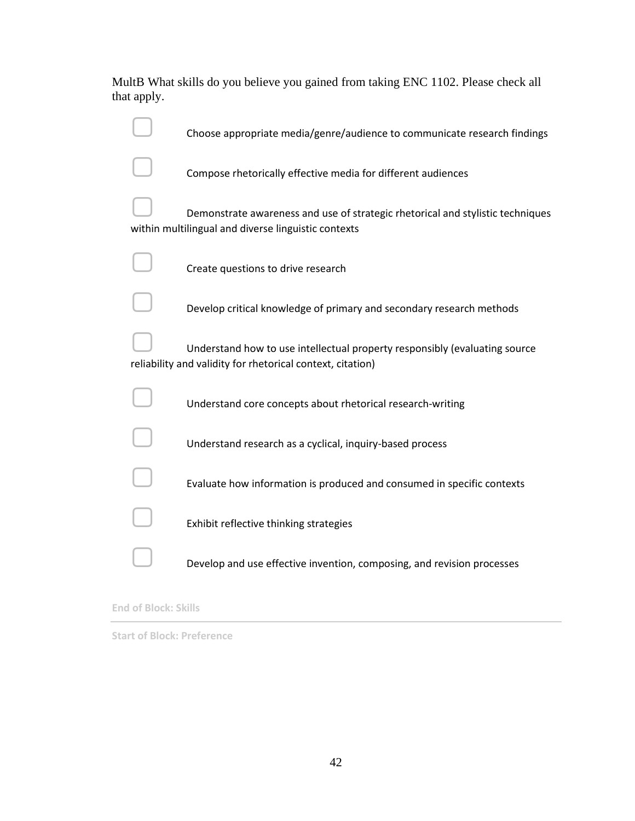MultB What skills do you believe you gained from taking ENC 1102. Please check all that apply.

| Choose appropriate media/genre/audience to communicate research findings                                                                 |
|------------------------------------------------------------------------------------------------------------------------------------------|
| Compose rhetorically effective media for different audiences                                                                             |
| Demonstrate awareness and use of strategic rhetorical and stylistic techniques<br>within multilingual and diverse linguistic contexts    |
| Create questions to drive research                                                                                                       |
| Develop critical knowledge of primary and secondary research methods                                                                     |
| Understand how to use intellectual property responsibly (evaluating source<br>reliability and validity for rhetorical context, citation) |
| Understand core concepts about rhetorical research-writing                                                                               |
| Understand research as a cyclical, inquiry-based process                                                                                 |
| Evaluate how information is produced and consumed in specific contexts                                                                   |
| Exhibit reflective thinking strategies                                                                                                   |
| Develop and use effective invention, composing, and revision processes                                                                   |

#### **End of Block: Skills**

**Start of Block: Preference**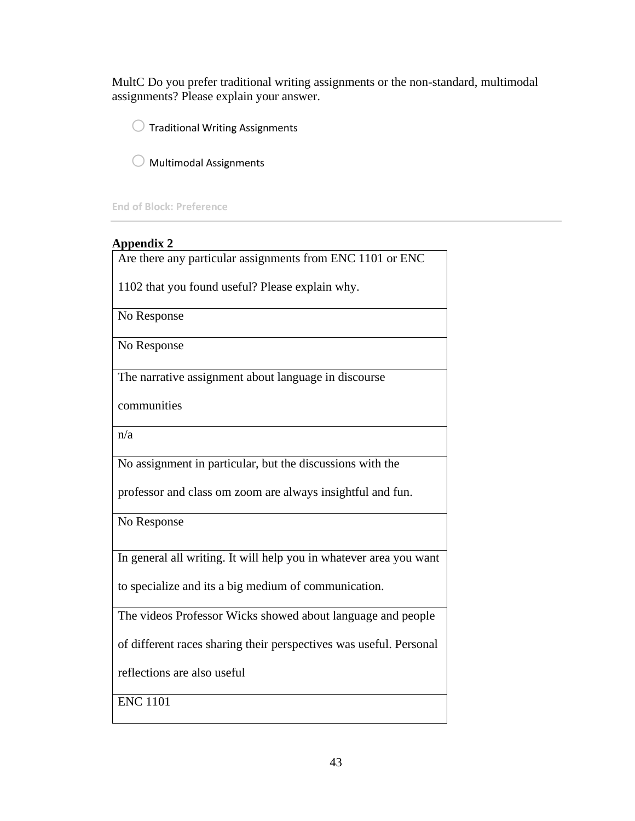MultC Do you prefer traditional writing assignments or the non-standard, multimodal assignments? Please explain your answer.

 $\bigcirc$  Traditional Writing Assignments

 $\bigcirc$  Multimodal Assignments

**End of Block: Preference**

| <b>Appendix 2</b>                                                  |
|--------------------------------------------------------------------|
| Are there any particular assignments from ENC 1101 or ENC          |
| 1102 that you found useful? Please explain why.                    |
| No Response                                                        |
| No Response                                                        |
| The narrative assignment about language in discourse               |
| communities                                                        |
| n/a                                                                |
| No assignment in particular, but the discussions with the          |
| professor and class om zoom are always insightful and fun.         |
| No Response                                                        |
| In general all writing. It will help you in whatever area you want |
| to specialize and its a big medium of communication.               |
| The videos Professor Wicks showed about language and people        |
| of different races sharing their perspectives was useful. Personal |
| reflections are also useful                                        |
| <b>ENC 1101</b>                                                    |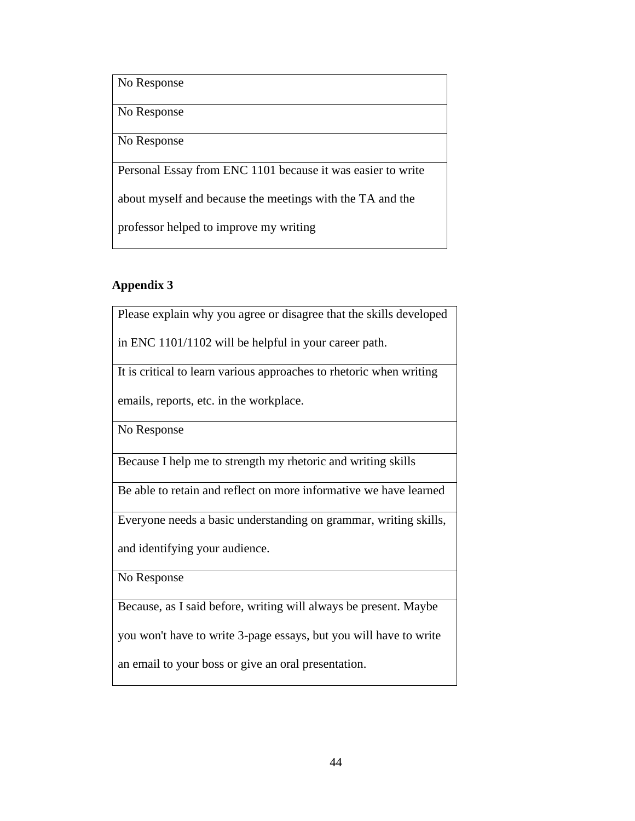No Response

No Response

No Response

Personal Essay from ENC 1101 because it was easier to write

about myself and because the meetings with the TA and the

professor helped to improve my writing

## **Appendix 3**

Please explain why you agree or disagree that the skills developed

in ENC 1101/1102 will be helpful in your career path.

It is critical to learn various approaches to rhetoric when writing

emails, reports, etc. in the workplace.

No Response

Because I help me to strength my rhetoric and writing skills

Be able to retain and reflect on more informative we have learned

Everyone needs a basic understanding on grammar, writing skills,

and identifying your audience.

No Response

Because, as I said before, writing will always be present. Maybe

you won't have to write 3-page essays, but you will have to write

an email to your boss or give an oral presentation.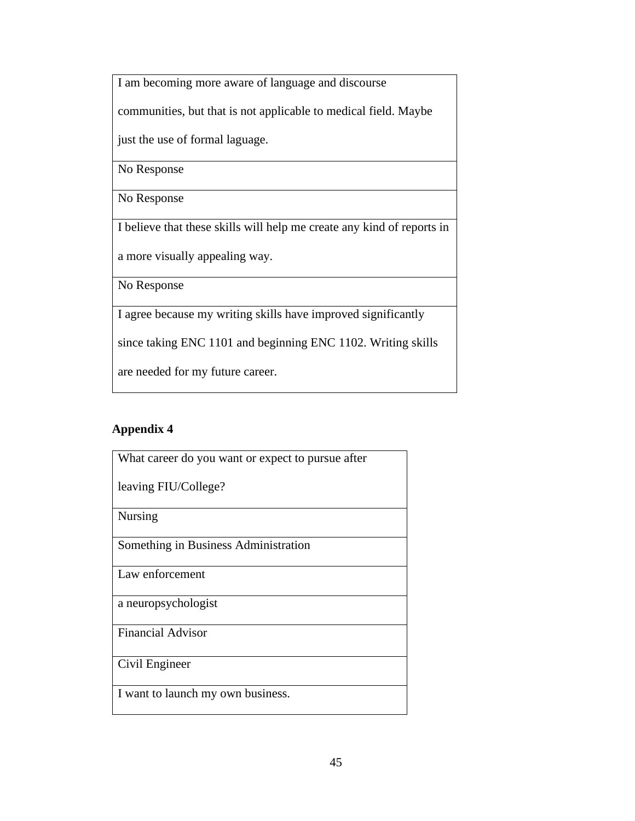I am becoming more aware of language and discourse

communities, but that is not applicable to medical field. Maybe

just the use of formal laguage.

No Response

No Response

I believe that these skills will help me create any kind of reports in

a more visually appealing way.

No Response

I agree because my writing skills have improved significantly

since taking ENC 1101 and beginning ENC 1102. Writing skills

are needed for my future career.

## **Appendix 4**

| What career do you want or expect to pursue after |
|---------------------------------------------------|
| leaving FIU/College?                              |
| <b>Nursing</b>                                    |
| Something in Business Administration              |
| Law enforcement                                   |
| a neuropsychologist                               |
| <b>Financial Advisor</b>                          |
| Civil Engineer                                    |
| I want to launch my own business.                 |